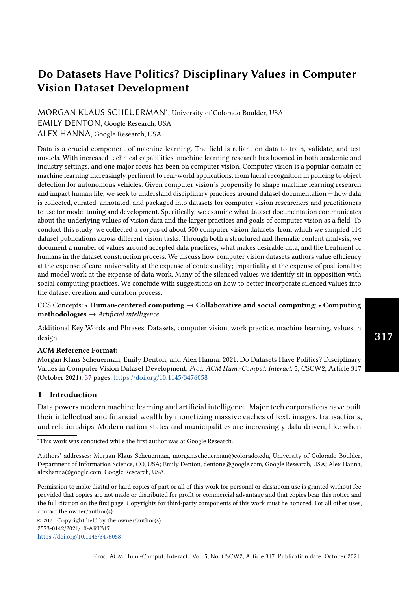MORGAN KLAUS SCHEUERMAN<sup>∗</sup> , University of Colorado Boulder, USA EMILY DENTON, Google Research, USA ALEX HANNA, Google Research, USA

Data is a crucial component of machine learning. The field is reliant on data to train, validate, and test models. With increased technical capabilities, machine learning research has boomed in both academic and industry settings, and one major focus has been on computer vision. Computer vision is a popular domain of machine learning increasingly pertinent to real-world applications, from facial recognition in policing to object detection for autonomous vehicles. Given computer vision's propensity to shape machine learning research and impact human life, we seek to understand disciplinary practices around dataset documentation — how data is collected, curated, annotated, and packaged into datasets for computer vision researchers and practitioners to use for model tuning and development. Specifically, we examine what dataset documentation communicates about the underlying values of vision data and the larger practices and goals of computer vision as a field. To conduct this study, we collected a corpus of about 500 computer vision datasets, from which we sampled 114 dataset publications across different vision tasks. Through both a structured and thematic content analysis, we document a number of values around accepted data practices, what makes desirable data, and the treatment of humans in the dataset construction process. We discuss how computer vision datasets authors value efficiency at the expense of care; universality at the expense of contextuality; impartiality at the expense of positionality; and model work at the expense of data work. Many of the silenced values we identify sit in opposition with social computing practices. We conclude with suggestions on how to better incorporate silenced values into the dataset creation and curation process.

CCS Concepts: • Human-centered computing  $\rightarrow$  Collaborative and social computing; • Computing methodologies  $\rightarrow$  Artificial intelligence.

Additional Key Words and Phrases: Datasets, computer vision, work practice, machine learning, values in design

#### ACM Reference Format:

Morgan Klaus Scheuerman, Emily Denton, and Alex Hanna. 2021. Do Datasets Have Politics? Disciplinary Values in Computer Vision Dataset Development. Proc. ACM Hum.-Comput. Interact. 5, CSCW2, Article 317 (October 2021), [37](#page-36-0) pages. <https://doi.org/10.1145/3476058>

### 1 Introduction

Data powers modern machine learning and artificial intelligence. Major tech corporations have built their intellectual and financial wealth by monetizing massive caches of text, images, transactions, and relationships. Modern nation-states and municipalities are increasingly data-driven, like when

<sup>∗</sup>This work was conducted while the first author was at Google Research.

Authors' addresses: Morgan Klaus Scheuerman, morgan.scheuerman@colorado.edu, University of Colorado Boulder, Department of Information Science, CO, USA; Emily Denton, dentone@google.com, Google Research, USA; Alex Hanna, alexhanna@google.com, Google Research, USA.

Permission to make digital or hard copies of part or all of this work for personal or classroom use is granted without fee provided that copies are not made or distributed for profit or commercial advantage and that copies bear this notice and the full citation on the first page. Copyrights for third-party components of this work must be honored. For all other uses, contact the owner/author(s).

© 2021 Copyright held by the owner/author(s). 2573-0142/2021/10-ART317 <https://doi.org/10.1145/3476058>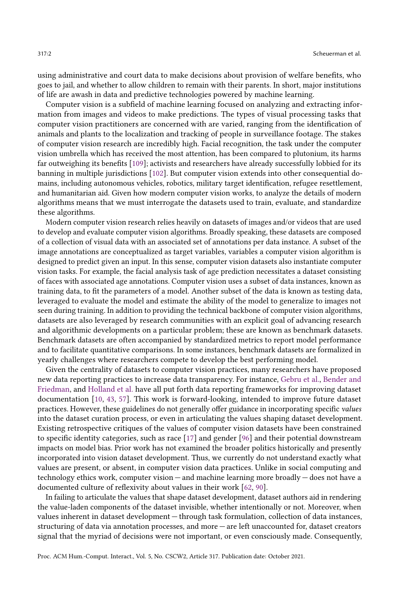using administrative and court data to make decisions about provision of welfare benefits, who goes to jail, and whether to allow children to remain with their parents. In short, major institutions of life are awash in data and predictive technologies powered by machine learning.

Computer vision is a subfield of machine learning focused on analyzing and extracting information from images and videos to make predictions. The types of visual processing tasks that computer vision practitioners are concerned with are varied, ranging from the identification of animals and plants to the localization and tracking of people in surveillance footage. The stakes of computer vision research are incredibly high. Facial recognition, the task under the computer vision umbrella which has received the most attention, has been compared to plutonium, its harms far outweighing its benefits [\[109\]](#page-36-1); activists and researchers have already successfully lobbied for its banning in multiple jurisdictions [\[102\]](#page-35-0). But computer vision extends into other consequential domains, including autonomous vehicles, robotics, military target identification, refugee resettlement, and humanitarian aid. Given how modern computer vision works, to analyze the details of modern algorithms means that we must interrogate the datasets used to train, evaluate, and standardize these algorithms.

Modern computer vision research relies heavily on datasets of images and/or videos that are used to develop and evaluate computer vision algorithms. Broadly speaking, these datasets are composed of a collection of visual data with an associated set of annotations per data instance. A subset of the image annotations are conceptualized as target variables, variables a computer vision algorithm is designed to predict given an input. In this sense, computer vision datasets also instantiate computer vision tasks. For example, the facial analysis task of age prediction necessitates a dataset consisting of faces with associated age annotations. Computer vision uses a subset of data instances, known as training data, to fit the parameters of a model. Another subset of the data is known as testing data, leveraged to evaluate the model and estimate the ability of the model to generalize to images not seen during training. In addition to providing the technical backbone of computer vision algorithms, datasets are also leveraged by research communities with an explicit goal of advancing research and algorithmic developments on a particular problem; these are known as benchmark datasets. Benchmark datasets are often accompanied by standardized metrics to report model performance and to facilitate quantitative comparisons. In some instances, benchmark datasets are formalized in yearly challenges where researchers compete to develop the best performing model.

Given the centrality of datasets to computer vision practices, many researchers have proposed new data reporting practices to increase data transparency. For instance, [Gebru et al.,](#page-33-0) [Bender and](#page-31-0) [Friedman,](#page-31-0) and [Holland et al.](#page-33-1) have all put forth data reporting frameworks for improving dataset documentation [\[10,](#page-31-0) [43,](#page-33-0) [57\]](#page-33-1). This work is forward-looking, intended to improve future dataset practices. However, these guidelines do not generally offer guidance in incorporating specific values into the dataset curation process, or even in articulating the values shaping dataset development. Existing retrospective critiques of the values of computer vision datasets have been constrained to specific identity categories, such as race [\[17\]](#page-32-0) and gender [\[96\]](#page-35-1) and their potential downstream impacts on model bias. Prior work has not examined the broader politics historically and presently incorporated into vision dataset development. Thus, we currently do not understand exactly what values are present, or absent, in computer vision data practices. Unlike in social computing and technology ethics work, computer vision — and machine learning more broadly — does not have a documented culture of reflexivity about values in their work [\[62,](#page-34-0) [90\]](#page-35-2).

In failing to articulate the values that shape dataset development, dataset authors aid in rendering the value-laden components of the dataset invisible, whether intentionally or not. Moreover, when values inherent in dataset development — through task formulation, collection of data instances, structuring of data via annotation processes, and more — are left unaccounted for, dataset creators signal that the myriad of decisions were not important, or even consciously made. Consequently,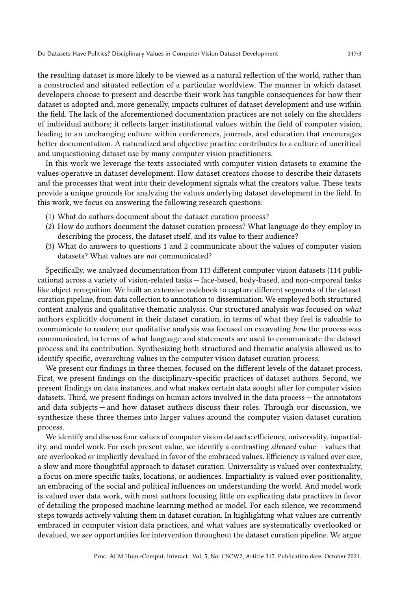the resulting dataset is more likely to be viewed as a natural reflection of the world, rather than a constructed and situated reflection of a particular worldview. The manner in which dataset developers choose to present and describe their work has tangible consequences for how their dataset is adopted and, more generally, impacts cultures of dataset development and use within the field. The lack of the aforementioned documentation practices are not solely on the shoulders of individual authors; it reflects larger institutional values within the field of computer vision, leading to an unchanging culture within conferences, journals, and education that encourages better documentation. A naturalized and objective practice contributes to a culture of uncritical and unquestioning dataset use by many computer vision practitioners.

In this work we leverage the texts associated with computer vision datasets to examine the values operative in dataset development. How dataset creators choose to describe their datasets and the processes that went into their development signals what the creators value. These texts provide a unique grounds for analyzing the values underlying dataset development in the field. In this work, we focus on answering the following research questions:

- (1) What do authors document about the dataset curation process?
- (2) How do authors document the dataset curation process? What language do they employ in describing the process, the dataset itself, and its value to their audience?
- (3) What do answers to questions 1 and 2 communicate about the values of computer vision datasets? What values are not communicated?

Specifically, we analyzed documentation from 113 different computer vision datasets (114 publications) across a variety of vision-related tasks — face-based, body-based, and non-corporeal tasks like object recognition. We built an extensive codebook to capture different segments of the dataset curation pipeline, from data collection to annotation to dissemination. We employed both structured content analysis and qualitative thematic analysis. Our structured analysis was focused on what authors explicitly document in their dataset curation, in terms of what they feel is valuable to communicate to readers; our qualitative analysis was focused on excavating how the process was communicated, in terms of what language and statements are used to communicate the dataset process and its contribution. Synthesizing both structured and thematic analysis allowed us to identify specific, overarching values in the computer vision dataset curation process.

We present our findings in three themes, focused on the different levels of the dataset process. First, we present findings on the disciplinary-specific practices of dataset authors. Second, we present findings on data instances, and what makes certain data sought after for computer vision datasets. Third, we present findings on human actors involved in the data process — the annotators and data subjects — and how dataset authors discuss their roles. Through our discussion, we synthesize these three themes into larger values around the computer vision dataset curation process.

We identify and discuss four values of computer vision datasets: efficiency, universality, impartiality, and model work. For each present value, we identify a contrasting silenced value — values that are overlooked or implicitly devalued in favor of the embraced values. Efficiency is valued over care, a slow and more thoughtful approach to dataset curation. Universality is valued over contextuality, a focus on more specific tasks, locations, or audiences. Impartiality is valued over positionality, an embracing of the social and political influences on understanding the world. And model work is valued over data work, with most authors focusing little on explicating data practices in favor of detailing the proposed machine learning method or model. For each silence, we recommend steps towards actively valuing them in dataset curation. In highlighting what values are currently embraced in computer vision data practices, and what values are systematically overlooked or devalued, we see opportunities for intervention throughout the dataset curation pipeline. We argue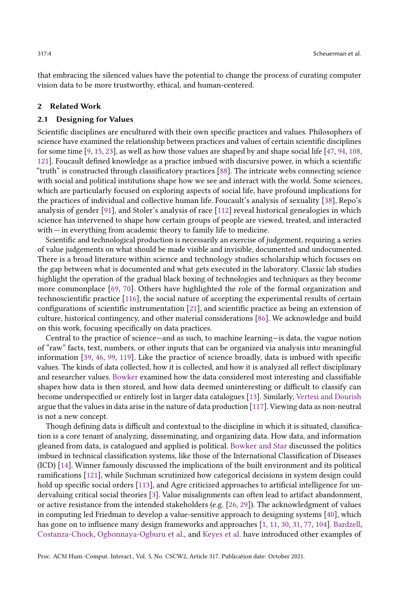that embracing the silenced values have the potential to change the process of curating computer vision data to be more trustworthy, ethical, and human-centered.

#### 2 Related Work

#### 2.1 Designing for Values

Scientific disciplines are encultured with their own specific practices and values. Philosophers of science have examined the relationship between practices and values of certain scientific disciplines for some time [\[9,](#page-31-1) [15,](#page-32-1) [23\]](#page-32-2), as well as how those values are shaped by and shape social life [\[47,](#page-33-2) [94,](#page-35-3) [108,](#page-36-2) [121\]](#page-36-3). Foucault defined knowledge as a practice imbued with discursive power, in which a scientific "truth" is constructed through classificatory practices [\[88\]](#page-35-4). The intricate webs connecting science with social and political institutions shape how we see and interact with the world. Some sciences, which are particularly focused on exploring aspects of social life, have profound implications for the practices of individual and collective human life. Foucault's analysis of sexuality [\[38\]](#page-33-3), Repo's analysis of gender [\[91\]](#page-35-5), and Stoler's analysis of race [\[112\]](#page-36-4) reveal historical genealogies in which science has intervened to shape how certain groups of people are viewed, treated, and interacted with — in everything from academic theory to family life to medicine.

Scientific and technological production is necessarily an exercise of judgement, requiring a series of value judgements on what should be made visible and invisible, documented and undocumented. There is a broad literature within science and technology studies scholarship which focuses on the gap between what is documented and what gets executed in the laboratory. Classic lab studies highlight the operation of the gradual black boxing of technologies and techniques as they become more commonplace [\[69,](#page-34-1) [70\]](#page-34-2). Others have highlighted the role of the formal organization and technoscientific practice [\[116\]](#page-36-5), the social nature of accepting the experimental results of certain configurations of scientific instrumentation [\[21\]](#page-32-3), and scientific practice as being an extension of culture, historical contingency, and other material considerations [\[86\]](#page-35-6). We acknowledge and build on this work, focusing specifically on data practices.

Central to the practice of science—and as such, to machine learning—is data, the vague notion of "raw" facts, text, numbers, or other inputs that can be organized via analysis into meaningful information [\[39,](#page-33-4) [46,](#page-33-5) [99,](#page-35-7) [119\]](#page-36-6). Like the practice of science broadly, data is imbued with specific values. The kinds of data collected, how it is collected, and how it is analyzed all reflect disciplinary and researcher values. [Bowker](#page-32-4) examined how the data considered most interesting and classifiable shapes how data is then stored, and how data deemed uninteresting or difficult to classify can become underspecified or entirely lost in larger data catalogues [\[13\]](#page-32-4). Similarly, [Vertesi and Dourish](#page-36-7) argue that the values in data arise in the nature of data production [\[117\]](#page-36-7). Viewing data as non-neutral is not a new concept.

Though defining data is difficult and contextual to the discipline in which it is situated, classification is a core tenant of analyzing, disseminating, and organizing data. How data, and information gleaned from data, is catalogued and applied is political. [Bowker and Star](#page-32-5) discussed the politics imbued in technical classification systems, like those of the International Classification of Diseases (ICD) [\[14\]](#page-32-5). Winner famously discussed the implications of the built environment and its political ramifications [\[121\]](#page-36-3), while Suchman scrutinized how categorical decisions in system design could hold up specific social orders [\[113\]](#page-36-8), and Agre criticized approaches to artificial intelligence for undervaluing critical social theories [\[3\]](#page-31-2). Value misalignments can often lead to artifact abandonment, or active resistance from the intended stakeholders (e.g. [\[26,](#page-32-6) [29\]](#page-32-7)). The acknowledgment of values in computing led Friedman to develop a value-sensitive approach to designing systems [\[40\]](#page-33-6), which has gone on to influence many design frameworks and approaches [\[1,](#page-31-3) [11,](#page-32-8) [30,](#page-32-9) [31,](#page-32-10) [77,](#page-34-3) [104\]](#page-35-8). [Bardzell,](#page-31-4) [Costanza-Chock,](#page-32-11) [Ogbonnaya-Ogburu et al.,](#page-34-4) and [Keyes et al.](#page-34-5) have introduced other examples of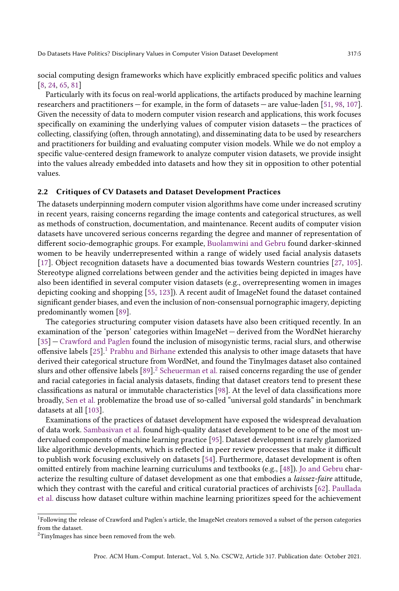social computing design frameworks which have explicitly embraced specific politics and values [\[8,](#page-31-4) [24,](#page-32-11) [65,](#page-34-5) [81\]](#page-34-4)

Particularly with its focus on real-world applications, the artifacts produced by machine learning researchers and practitioners — for example, in the form of datasets — are value-laden [\[51,](#page-33-7) [98,](#page-35-9) [107\]](#page-35-10). Given the necessity of data to modern computer vision research and applications, this work focuses specifically on examining the underlying values of computer vision datasets — the practices of collecting, classifying (often, through annotating), and disseminating data to be used by researchers and practitioners for building and evaluating computer vision models. While we do not employ a specific value-centered design framework to analyze computer vision datasets, we provide insight into the values already embedded into datasets and how they sit in opposition to other potential values.

# 2.2 Critiques of CV Datasets and Dataset Development Practices

The datasets underpinning modern computer vision algorithms have come under increased scrutiny in recent years, raising concerns regarding the image contents and categorical structures, as well as methods of construction, documentation, and maintenance. Recent audits of computer vision datasets have uncovered serious concerns regarding the degree and manner of representation of different socio-demographic groups. For example, [Buolamwini and Gebru](#page-32-0) found darker-skinned women to be heavily underrepresented within a range of widely used facial analysis datasets [\[17\]](#page-32-0). Object recognition datasets have a documented bias towards Western countries [\[27,](#page-32-12) [105\]](#page-35-11). Stereotype aligned correlations between gender and the activities being depicted in images have also been identified in several computer vision datasets (e.g., overrepresenting women in images depicting cooking and shopping [\[55,](#page-33-8) [123\]](#page-36-9)). A recent audit of ImageNet found the dataset contained significant gender biases, and even the inclusion of non-consensual pornographic imagery, depicting predominantly women [\[89\]](#page-35-12).

The categories structuring computer vision datasets have also been critiqued recently. In an examination of the 'person' categories within ImageNet — derived from the WordNet hierarchy [\[35\]](#page-32-13) — [Crawford and Paglen](#page-32-14) found the inclusion of misogynistic terms, racial slurs, and otherwise offensive labels  $[25]$ .<sup>[1](#page-4-0)</sup> [Prabhu and Birhane](#page-35-12) extended this analysis to other image datasets that have derived their categorical structure from WordNet, and found the TinyImages dataset also contained slurs and other offensive labels [\[89\]](#page-35-12).<sup>[2](#page-4-1)</sup> [Scheuerman et al.](#page-35-9) raised concerns regarding the use of gender and racial categories in facial analysis datasets, finding that dataset creators tend to present these classifications as natural or immutable characteristics [\[98\]](#page-35-9). At the level of data classifications more broadly, [Sen et al.](#page-35-13) problematize the broad use of so-called "universal gold standards" in benchmark datasets at all [\[103\]](#page-35-13).

Examinations of the practices of dataset development have exposed the widespread devaluation of data work. [Sambasivan et al.](#page-35-14) found high-quality dataset development to be one of the most undervalued components of machine learning practice [\[95\]](#page-35-14). Dataset development is rarely glamorized like algorithmic developments, which is reflected in peer review processes that make it difficult to publish work focusing exclusively on datasets [\[54\]](#page-33-9). Furthermore, dataset development is often omitted entirely from machine learning curriculums and textbooks (e.g., [\[48\]](#page-33-10)). [Jo and Gebru](#page-34-0) characterize the resulting culture of dataset development as one that embodies a laissez-faire attitude, which they contrast with the careful and critical curatorial practices of archivists [\[62\]](#page-34-0). [Paullada](#page-35-15) [et al.](#page-35-15) discuss how dataset culture within machine learning prioritizes speed for the achievement

<span id="page-4-0"></span> $^1\rm{Following}$  the release of Crawford and Paglen's article, the ImageNet creators removed a subset of the person categories from the dataset.

<span id="page-4-1"></span><sup>&</sup>lt;sup>2</sup>TinyImages has since been removed from the web.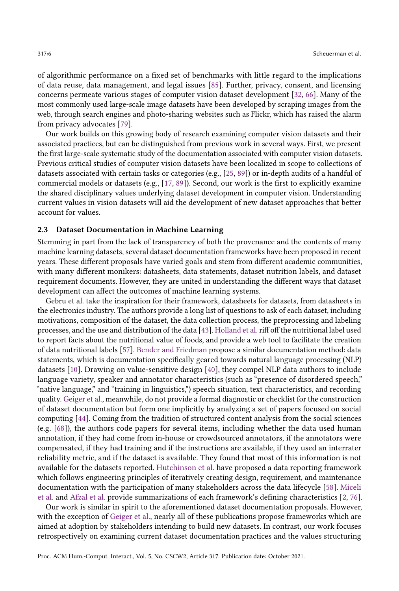of algorithmic performance on a fixed set of benchmarks with little regard to the implications of data reuse, data management, and legal issues [\[85\]](#page-35-15). Further, privacy, consent, and licensing concerns permeate various stages of computer vision dataset development [\[32,](#page-32-15) [66\]](#page-34-6). Many of the most commonly used large-scale image datasets have been developed by scraping images from the web, through search engines and photo-sharing websites such as Flickr, which has raised the alarm from privacy advocates [\[79\]](#page-34-7).

Our work builds on this growing body of research examining computer vision datasets and their associated practices, but can be distinguished from previous work in several ways. First, we present the first large-scale systematic study of the documentation associated with computer vision datasets. Previous critical studies of computer vision datasets have been localized in scope to collections of datasets associated with certain tasks or categories (e.g., [\[25,](#page-32-14) [89\]](#page-35-12)) or in-depth audits of a handful of commercial models or datasets (e.g., [\[17,](#page-32-0) [89\]](#page-35-12)). Second, our work is the first to explicitly examine the shared disciplinary values underlying dataset development in computer vision. Understanding current values in vision datasets will aid the development of new dataset approaches that better account for values.

# 2.3 Dataset Documentation in Machine Learning

Stemming in part from the lack of transparency of both the provenance and the contents of many machine learning datasets, several dataset documentation frameworks have been proposed in recent years. These different proposals have varied goals and stem from different academic communities, with many different monikers: datasheets, data statements, dataset nutrition labels, and dataset requirement documents. However, they are united in understanding the different ways that dataset development can affect the outcomes of machine learning systems.

Gebru et al. take the inspiration for their framework, datasheets for datasets, from datasheets in the electronics industry. The authors provide a long list of questions to ask of each dataset, including motivations, composition of the dataset, the data collection process, the preprocessing and labeling processes, and the use and distribution of the data [\[43\]](#page-33-0). [Holland et al.](#page-33-1)riff off the nutritional label used to report facts about the nutritional value of foods, and provide a web tool to facilitate the creation of data nutritional labels [\[57\]](#page-33-1). [Bender and Friedman](#page-31-0) propose a similar documentation method: data statements, which is documentation specifically geared towards natural language processing (NLP) datasets [\[10\]](#page-31-0). Drawing on value-sensitive design [\[40\]](#page-33-6), they compel NLP data authors to include language variety, speaker and annotator characteristics (such as "presence of disordered speech," "native language," and "training in linguistics,") speech situation, text characteristics, and recording quality. [Geiger et al.,](#page-33-11) meanwhile, do not provide a formal diagnostic or checklist for the construction of dataset documentation but form one implicitly by analyzing a set of papers focused on social computing [\[44\]](#page-33-11). Coming from the tradition of structured content analysis from the social sciences (e.g. [\[68\]](#page-34-8)), the authors code papers for several items, including whether the data used human annotation, if they had come from in-house or crowdsourced annotators, if the annotators were compensated, if they had training and if the instructions are available, if they used an interrater reliability metric, and if the dataset is available. They found that most of this information is not available for the datasets reported. [Hutchinson et al.](#page-33-12) have proposed a data reporting framework which follows engineering principles of iteratively creating design, requirement, and maintenance documentation with the participation of many stakeholders across the data lifecycle [\[58\]](#page-33-12). [Miceli](#page-34-9) [et al.](#page-34-9) and [Afzal et al.](#page-31-5) provide summarizations of each framework's defining characteristics [\[2,](#page-31-5) [76\]](#page-34-9).

Our work is similar in spirit to the aforementioned dataset documentation proposals. However, with the exception of [Geiger et al.,](#page-33-11) nearly all of these publications propose frameworks which are aimed at adoption by stakeholders intending to build new datasets. In contrast, our work focuses retrospectively on examining current dataset documentation practices and the values structuring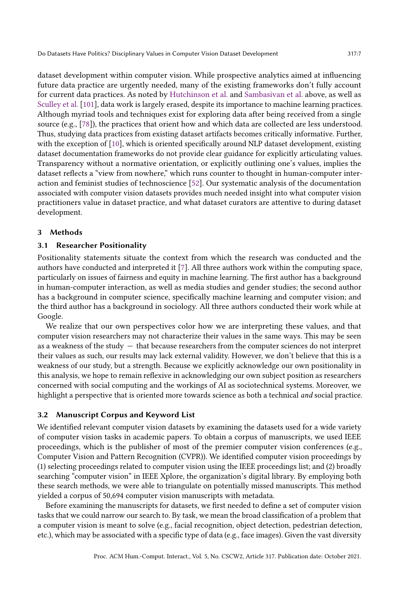dataset development within computer vision. While prospective analytics aimed at influencing future data practice are urgently needed, many of the existing frameworks don't fully account for current data practices. As noted by [Hutchinson et al.](#page-33-12) and [Sambasivan et al.](#page-35-14) above, as well as [Sculley et al.](#page-35-16) [\[101\]](#page-35-16), data work is largely erased, despite its importance to machine learning practices. Although myriad tools and techniques exist for exploring data after being received from a single source (e.g., [\[78\]](#page-34-10)), the practices that orient how and which data are collected are less understood. Thus, studying data practices from existing dataset artifacts becomes critically informative. Further, with the exception of [\[10\]](#page-31-0), which is oriented specifically around NLP dataset development, existing dataset documentation frameworks do not provide clear guidance for explicitly articulating values. Transparency without a normative orientation, or explicitly outlining one's values, implies the dataset reflects a "view from nowhere," which runs counter to thought in human-computer interaction and feminist studies of technoscience [\[52\]](#page-33-13). Our systematic analysis of the documentation associated with computer vision datasets provides much needed insight into what computer vision practitioners value in dataset practice, and what dataset curators are attentive to during dataset development.

### 3 Methods

### 3.1 Researcher Positionality

Positionality statements situate the context from which the research was conducted and the authors have conducted and interpreted it [\[7\]](#page-31-6). All three authors work within the computing space, particularly on issues of fairness and equity in machine learning. The first author has a background in human-computer interaction, as well as media studies and gender studies; the second author has a background in computer science, specifically machine learning and computer vision; and the third author has a background in sociology. All three authors conducted their work while at Google.

We realize that our own perspectives color how we are interpreting these values, and that computer vision researchers may not characterize their values in the same ways. This may be seen as a weakness of the study — that because researchers from the computer sciences do not interpret their values as such, our results may lack external validity. However, we don't believe that this is a weakness of our study, but a strength. Because we explicitly acknowledge our own positionality in this analysis, we hope to remain reflexive in acknowledging our own subject position as researchers concerned with social computing and the workings of AI as sociotechnical systems. Moreover, we highlight a perspective that is oriented more towards science as both a technical and social practice.

### 3.2 Manuscript Corpus and Keyword List

We identified relevant computer vision datasets by examining the datasets used for a wide variety of computer vision tasks in academic papers. To obtain a corpus of manuscripts, we used IEEE proceedings, which is the publisher of most of the premier computer vision conferences (e.g., Computer Vision and Pattern Recognition (CVPR)). We identified computer vision proceedings by (1) selecting proceedings related to computer vision using the IEEE proceedings list; and (2) broadly searching "computer vision" in IEEE Xplore, the organization's digital library. By employing both these search methods, we were able to triangulate on potentially missed manuscripts. This method yielded a corpus of 50,694 computer vision manuscripts with metadata.

Before examining the manuscripts for datasets, we first needed to define a set of computer vision tasks that we could narrow our search to. By task, we mean the broad classification of a problem that a computer vision is meant to solve (e.g., facial recognition, object detection, pedestrian detection, etc.), which may be associated with a specific type of data (e.g., face images). Given the vast diversity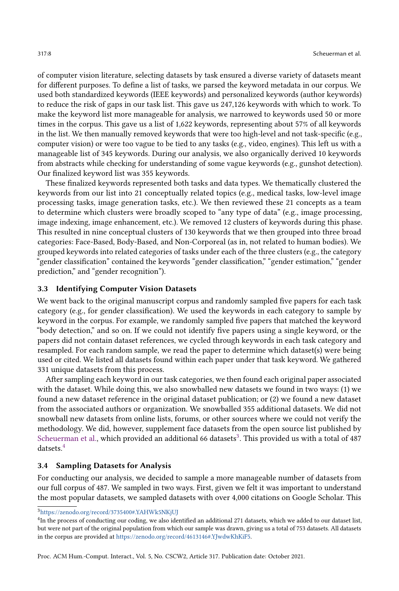of computer vision literature, selecting datasets by task ensured a diverse variety of datasets meant for different purposes. To define a list of tasks, we parsed the keyword metadata in our corpus. We used both standardized keywords (IEEE keywords) and personalized keywords (author keywords) to reduce the risk of gaps in our task list. This gave us 247,126 keywords with which to work. To make the keyword list more manageable for analysis, we narrowed to keywords used 50 or more times in the corpus. This gave us a list of 1,622 keywords, representing about 57% of all keywords in the list. We then manually removed keywords that were too high-level and not task-specific (e.g., computer vision) or were too vague to be tied to any tasks (e.g., video, engines). This left us with a manageable list of 345 keywords. During our analysis, we also organically derived 10 keywords from abstracts while checking for understanding of some vague keywords (e.g., gunshot detection). Our finalized keyword list was 355 keywords.

These finalized keywords represented both tasks and data types. We thematically clustered the keywords from our list into 21 conceptually related topics (e.g., medical tasks, low-level image processing tasks, image generation tasks, etc.). We then reviewed these 21 concepts as a team to determine which clusters were broadly scoped to "any type of data" (e.g., image processing, image indexing, image enhancement, etc.). We removed 12 clusters of keywords during this phase. This resulted in nine conceptual clusters of 130 keywords that we then grouped into three broad categories: Face-Based, Body-Based, and Non-Corporeal (as in, not related to human bodies). We grouped keywords into related categories of tasks under each of the three clusters (e.g., the category "gender classification" contained the keywords "gender classification," "gender estimation," "gender prediction," and "gender recognition").

### 3.3 Identifying Computer Vision Datasets

We went back to the original manuscript corpus and randomly sampled five papers for each task category (e.g., for gender classification). We used the keywords in each category to sample by keyword in the corpus. For example, we randomly sampled five papers that matched the keyword "body detection," and so on. If we could not identify five papers using a single keyword, or the papers did not contain dataset references, we cycled through keywords in each task category and resampled. For each random sample, we read the paper to determine which dataset(s) were being used or cited. We listed all datasets found within each paper under that task keyword. We gathered 331 unique datasets from this process.

After sampling each keyword in our task categories, we then found each original paper associated with the dataset. While doing this, we also snowballed new datasets we found in two ways: (1) we found a new dataset reference in the original dataset publication; or (2) we found a new dataset from the associated authors or organization. We snowballed 355 additional datasets. We did not snowball new datasets from online lists, forums, or other sources where we could not verify the methodology. We did, however, supplement face datasets from the open source list published by [Scheuerman et al.,](#page-35-9) which provided an additional 66 datasets $^3.$  $^3.$  $^3.$  This provided us with a total of 487  $\,$ datsets.[4](#page-7-1)

#### 3.4 Sampling Datasets for Analysis

For conducting our analysis, we decided to sample a more manageable number of datasets from our full corpus of 487. We sampled in two ways. First, given we felt it was important to understand the most popular datasets, we sampled datasets with over 4,000 citations on Google Scholar. This

<span id="page-7-0"></span><sup>3</sup><https://zenodo.org/record/3735400#.YAHWk5NKjUJ>

<span id="page-7-1"></span><sup>&</sup>lt;sup>4</sup>In the process of conducting our coding, we also identified an additional 271 datasets, which we added to our dataset list, but were not part of the original population from which our sample was drawn, giving us a total of 753 datasets. All datasets in the corpus are provided at [https://zenodo.org/record/4613146#.YJwdwKhKiF5.](https://zenodo.org/record/4613146#.YJwdwKhKiF5)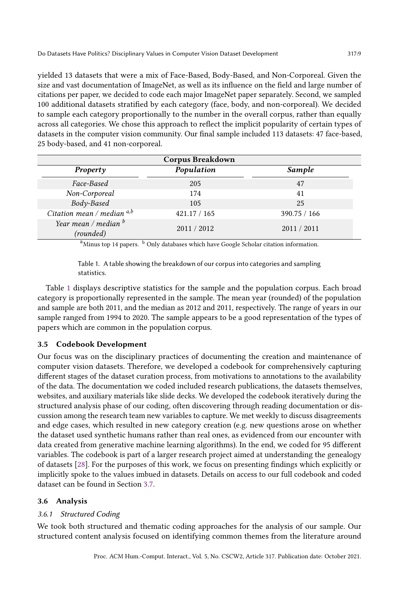yielded 13 datasets that were a mix of Face-Based, Body-Based, and Non-Corporeal. Given the size and vast documentation of ImageNet, as well as its influence on the field and large number of citations per paper, we decided to code each major ImageNet paper separately. Second, we sampled 100 additional datasets stratified by each category (face, body, and non-corporeal). We decided to sample each category proportionally to the number in the overall corpus, rather than equally across all categories. We chose this approach to reflect the implicit popularity of certain types of datasets in the computer vision community. Our final sample included 113 datasets: 47 face-based, 25 body-based, and 41 non-corporeal.

<span id="page-8-0"></span>

| <b>Corpus Breakdown</b>           |              |              |  |  |
|-----------------------------------|--------------|--------------|--|--|
| <b>Property</b>                   | Population   | Sample       |  |  |
| Face-Based                        | 205          | 47           |  |  |
| Non-Corporeal                     | 174          | 41           |  |  |
| Body-Based                        | 105          | 25           |  |  |
| Citation mean / median $a,b$      | 421.17 / 165 | 390.75 / 166 |  |  |
| Year mean / median b<br>(rounded) | 2011 / 2012  | 2011 / 2011  |  |  |

 $a<sup>a</sup>$ Minus top 14 papers.  $b$  Only databases which have Google Scholar citation information.

Table 1. A table showing the breakdown of our corpus into categories and sampling statistics.

Table [1](#page-8-0) displays descriptive statistics for the sample and the population corpus. Each broad category is proportionally represented in the sample. The mean year (rounded) of the population and sample are both 2011, and the median as 2012 and 2011, respectively. The range of years in our sample ranged from 1994 to 2020. The sample appears to be a good representation of the types of papers which are common in the population corpus.

# 3.5 Codebook Development

Our focus was on the disciplinary practices of documenting the creation and maintenance of computer vision datasets. Therefore, we developed a codebook for comprehensively capturing different stages of the dataset curation process, from motivations to annotations to the availability of the data. The documentation we coded included research publications, the datasets themselves, websites, and auxiliary materials like slide decks. We developed the codebook iteratively during the structured analysis phase of our coding, often discovering through reading documentation or discussion among the research team new variables to capture. We met weekly to discuss disagreements and edge cases, which resulted in new category creation (e.g. new questions arose on whether the dataset used synthetic humans rather than real ones, as evidenced from our encounter with data created from generative machine learning algorithms). In the end, we coded for 95 different variables. The codebook is part of a larger research project aimed at understanding the genealogy of datasets [\[28\]](#page-32-16). For the purposes of this work, we focus on presenting findings which explicitly or implicitly spoke to the values imbued in datasets. Details on access to our full codebook and coded dataset can be found in Section [3.7.](#page-9-0)

### 3.6 Analysis

# 3.6.1 Structured Coding

We took both structured and thematic coding approaches for the analysis of our sample. Our structured content analysis focused on identifying common themes from the literature around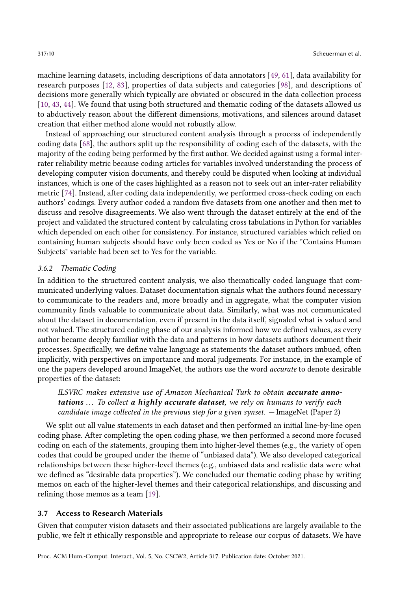machine learning datasets, including descriptions of data annotators [\[49,](#page-33-14) [61\]](#page-34-11), data availability for research purposes [\[12,](#page-32-17) [83\]](#page-34-12), properties of data subjects and categories [\[98\]](#page-35-9), and descriptions of decisions more generally which typically are obviated or obscured in the data collection process [\[10,](#page-31-0) [43,](#page-33-0) [44\]](#page-33-11). We found that using both structured and thematic coding of the datasets allowed us to abductively reason about the different dimensions, motivations, and silences around dataset creation that either method alone would not robustly allow.

Instead of approaching our structured content analysis through a process of independently coding data [\[68\]](#page-34-8), the authors split up the responsibility of coding each of the datasets, with the majority of the coding being performed by the first author. We decided against using a formal interrater reliability metric because coding articles for variables involved understanding the process of developing computer vision documents, and thereby could be disputed when looking at individual instances, which is one of the cases highlighted as a reason not to seek out an inter-rater reliability metric [\[74\]](#page-34-13). Instead, after coding data independently, we performed cross-check coding on each authors' codings. Every author coded a random five datasets from one another and then met to discuss and resolve disagreements. We also went through the dataset entirely at the end of the project and validated the structured content by calculating cross tabulations in Python for variables which depended on each other for consistency. For instance, structured variables which relied on containing human subjects should have only been coded as Yes or No if the "Contains Human Subjects" variable had been set to Yes for the variable.

#### 3.6.2 Thematic Coding

In addition to the structured content analysis, we also thematically coded language that communicated underlying values. Dataset documentation signals what the authors found necessary to communicate to the readers and, more broadly and in aggregate, what the computer vision community finds valuable to communicate about data. Similarly, what was not communicated about the dataset in documentation, even if present in the data itself, signaled what is valued and not valued. The structured coding phase of our analysis informed how we defined values, as every author became deeply familiar with the data and patterns in how datasets authors document their processes. Specifically, we define value language as statements the dataset authors imbued, often implicitly, with perspectives on importance and moral judgements. For instance, in the example of one the papers developed around ImageNet, the authors use the word accurate to denote desirable properties of the dataset:

ILSVRC makes extensive use of Amazon Mechanical Turk to obtain accurate annotations  $\ldots$  To collect a highly accurate dataset, we rely on humans to verify each candidate image collected in the previous step for a given synset. — ImageNet (Paper 2)

We split out all value statements in each dataset and then performed an initial line-by-line open coding phase. After completing the open coding phase, we then performed a second more focused coding on each of the statements, grouping them into higher-level themes (e.g., the variety of open codes that could be grouped under the theme of "unbiased data"). We also developed categorical relationships between these higher-level themes (e.g., unbiased data and realistic data were what we defined as "desirable data properties"). We concluded our thematic coding phase by writing memos on each of the higher-level themes and their categorical relationships, and discussing and refining those memos as a team [\[19\]](#page-32-18).

#### <span id="page-9-0"></span>3.7 Access to Research Materials

Given that computer vision datasets and their associated publications are largely available to the public, we felt it ethically responsible and appropriate to release our corpus of datasets. We have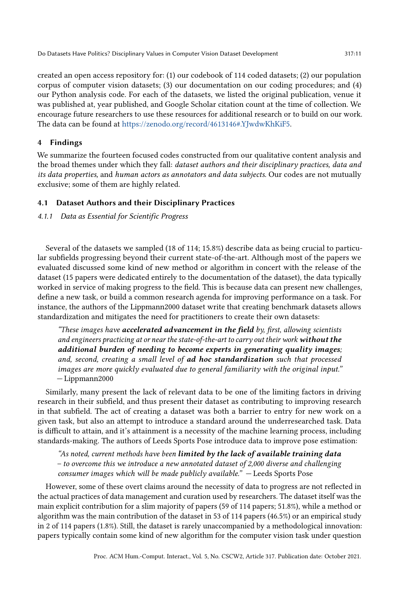created an open access repository for: (1) our codebook of 114 coded datasets; (2) our population corpus of computer vision datasets; (3) our documentation on our coding procedures; and (4) our Python analysis code. For each of the datasets, we listed the original publication, venue it was published at, year published, and Google Scholar citation count at the time of collection. We encourage future researchers to use these resources for additional research or to build on our work. The data can be found at [https://zenodo.org/record/4613146#.YJwdwKhKiF5.](https://zenodo.org/record/4613146#.YJwdwKhKiF5)

# 4 Findings

We summarize the fourteen focused codes constructed from our qualitative content analysis and the broad themes under which they fall: dataset authors and their disciplinary practices, data and its data properties, and human actors as annotators and data subjects. Our codes are not mutually exclusive; some of them are highly related.

# 4.1 Dataset Authors and their Disciplinary Practices

<span id="page-10-0"></span>4.1.1 Data as Essential for Scientific Progress

Several of the datasets we sampled (18 of 114; 15.8%) describe data as being crucial to particular subfields progressing beyond their current state-of-the-art. Although most of the papers we evaluated discussed some kind of new method or algorithm in concert with the release of the dataset (15 papers were dedicated entirely to the documentation of the dataset), the data typically worked in service of making progress to the field. This is because data can present new challenges, define a new task, or build a common research agenda for improving performance on a task. For instance, the authors of the Lippmann2000 dataset write that creating benchmark datasets allows standardization and mitigates the need for practitioners to create their own datasets:

"These images have accelerated advancement in the field by, first, allowing scientists and engineers practicing at or near the state-of-the-art to carry out their work without the additional burden of needing to become experts in generating quality images; and, second, creating a small level of ad hoc standardization such that processed images are more quickly evaluated due to general familiarity with the original input." — Lippmann2000

Similarly, many present the lack of relevant data to be one of the limiting factors in driving research in their subfield, and thus present their dataset as contributing to improving research in that subfield. The act of creating a dataset was both a barrier to entry for new work on a given task, but also an attempt to introduce a standard around the underresearched task. Data is difficult to attain, and it's attainment is a necessity of the machine learning process, including standards-making. The authors of Leeds Sports Pose introduce data to improve pose estimation:

"As noted, current methods have been limited by the lack of available training data – to overcome this we introduce a new annotated dataset of 2,000 diverse and challenging consumer images which will be made publicly available." — Leeds Sports Pose

However, some of these overt claims around the necessity of data to progress are not reflected in the actual practices of data management and curation used by researchers. The dataset itself was the main explicit contribution for a slim majority of papers (59 of 114 papers; 51.8%), while a method or algorithm was the main contribution of the dataset in 53 of 114 papers (46.5%) or an empirical study in 2 of 114 papers (1.8%). Still, the dataset is rarely unaccompanied by a methodological innovation: papers typically contain some kind of new algorithm for the computer vision task under question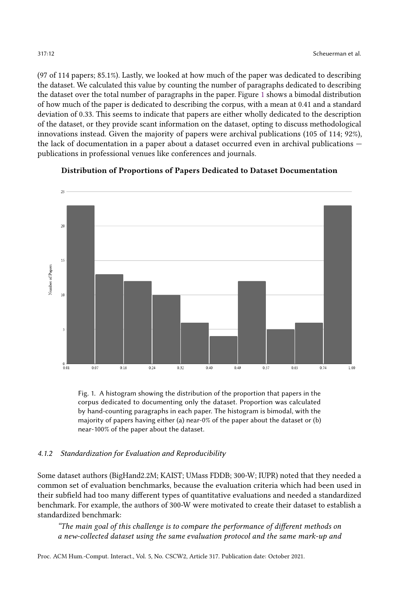(97 of 114 papers; 85.1%). Lastly, we looked at how much of the paper was dedicated to describing the dataset. We calculated this value by counting the number of paragraphs dedicated to describing the dataset over the total number of paragraphs in the paper. Figure [1](#page-11-0) shows a bimodal distribution of how much of the paper is dedicated to describing the corpus, with a mean at 0.41 and a standard deviation of 0.33. This seems to indicate that papers are either wholly dedicated to the description of the dataset, or they provide scant information on the dataset, opting to discuss methodological innovations instead. Given the majority of papers were archival publications (105 of 114; 92%), the lack of documentation in a paper about a dataset occurred even in archival publications publications in professional venues like conferences and journals.

<span id="page-11-0"></span>

# Distribution of Proportions of Papers Dedicated to Dataset Documentation

Fig. 1. A histogram showing the distribution of the proportion that papers in the corpus dedicated to documenting only the dataset. Proportion was calculated by hand-counting paragraphs in each paper. The histogram is bimodal, with the majority of papers having either (a) near-0% of the paper about the dataset or (b) near-100% of the paper about the dataset.

### 4.1.2 Standardization for Evaluation and Reproducibility

Some dataset authors (BigHand2.2M; KAIST; UMass FDDB; 300-W; IUPR) noted that they needed a common set of evaluation benchmarks, because the evaluation criteria which had been used in their subfield had too many different types of quantitative evaluations and needed a standardized benchmark. For example, the authors of 300-W were motivated to create their dataset to establish a standardized benchmark:

"The main goal of this challenge is to compare the performance of different methods on a new-collected dataset using the same evaluation protocol and the same mark-up and

Proc. ACM Hum.-Comput. Interact., Vol. 5, No. CSCW2, Article 317. Publication date: October 2021.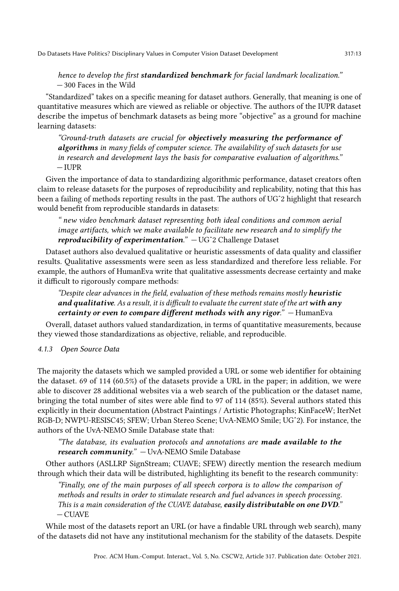hence to develop the first standardized benchmark for facial landmark localization." — 300 Faces in the Wild

"Standardized" takes on a specific meaning for dataset authors. Generally, that meaning is one of quantitative measures which are viewed as reliable or objective. The authors of the IUPR dataset describe the impetus of benchmark datasets as being more "objective" as a ground for machine learning datasets:

"Ground-truth datasets are crucial for objectively measuring the performance of algorithms in many fields of computer science. The availability of such datasets for use in research and development lays the basis for comparative evaluation of algorithms." — IUPR

Given the importance of data to standardizing algorithmic performance, dataset creators often claim to release datasets for the purposes of reproducibility and replicability, noting that this has been a failing of methods reporting results in the past. The authors of UGˆ2 highlight that research would benefit from reproducible standards in datasets:

" new video benchmark dataset representing both ideal conditions and common aerial image artifacts, which we make available to facilitate new research and to simplify the reproducibility of experimentation." — UGˆ2 Challenge Dataset

Dataset authors also devalued qualitative or heuristic assessments of data quality and classifier results. Qualitative assessments were seen as less standardized and therefore less reliable. For example, the authors of HumanEva write that qualitative assessments decrease certainty and make it difficult to rigorously compare methods:

"Despite clear advances in the field, evaluation of these methods remains mostly **heuristic** and qualitative. As a result, it is difficult to evaluate the current state of the art with any certainty or even to compare different methods with any rigor."  $-$  HumanEva

Overall, dataset authors valued standardization, in terms of quantitative measurements, because they viewed those standardizations as objective, reliable, and reproducible.

# 4.1.3 Open Source Data

The majority the datasets which we sampled provided a URL or some web identifier for obtaining the dataset. 69 of 114 (60.5%) of the datasets provide a URL in the paper; in addition, we were able to discover 28 additional websites via a web search of the publication or the dataset name, bringing the total number of sites were able find to 97 of 114 (85%). Several authors stated this explicitly in their documentation (Abstract Paintings / Artistic Photographs; KinFaceW; IterNet RGB-D; NWPU-RESISC45; SFEW; Urban Stereo Scene; UvA-NEMO Smile; UGˆ2). For instance, the authors of the UvA-NEMO Smile Database state that:

"The database, its evaluation protocols and annotations are made available to the research community." — UvA-NEMO Smile Database

Other authors (ASLLRP SignStream; CUAVE; SFEW) directly mention the research medium through which their data will be distributed, highlighting its benefit to the research community:

"Finally, one of the main purposes of all speech corpora is to allow the comparison of methods and results in order to stimulate research and fuel advances in speech processing. This is a main consideration of the CUAVE database, easily distributable on one DVD." — CUAVE

While most of the datasets report an URL (or have a findable URL through web search), many of the datasets did not have any institutional mechanism for the stability of the datasets. Despite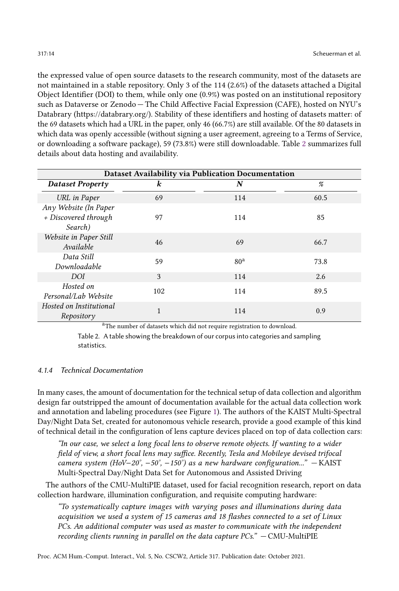the expressed value of open source datasets to the research community, most of the datasets are not maintained in a stable repository. Only 3 of the 114 (2.6%) of the datasets attached a Digital Object Identifier (DOI) to them, while only one (0.9%) was posted on an institutional repository such as Dataverse or Zenodo — The Child Affective Facial Expression (CAFE), hosted on NYU's Databrary (https://databrary.org/). Stability of these identifiers and hosting of datasets matter: of the 69 datasets which had a URL in the paper, only 46 (66.7%) are still available. Of the 80 datasets in which data was openly accessible (without signing a user agreement, agreeing to a Terms of Service, or downloading a software package), 59 (73.8%) were still downloadable. Table [2](#page-13-0) summarizes full details about data hosting and availability.

<span id="page-13-0"></span>

| Dataset Availability via Publication Documentation |                  |                 |      |  |
|----------------------------------------------------|------------------|-----------------|------|--|
| <b>Dataset Property</b>                            | $\boldsymbol{k}$ | N               | %    |  |
| URL in Paper                                       | 69               | 114             | 60.5 |  |
| Any Website (In Paper                              |                  |                 |      |  |
| + Discovered through                               | 97               | 114             | 85   |  |
| Search)                                            |                  |                 |      |  |
| Website in Paper Still                             | 46               | 69              | 66.7 |  |
| Available                                          |                  |                 |      |  |
| Data Still                                         | 59               | 80 <sup>a</sup> | 73.8 |  |
| Downloadable                                       |                  |                 |      |  |
| DOI                                                | 3                | 114             | 2.6  |  |
| Hosted on                                          | 102              | 114             | 89.5 |  |
| Personal/Lab Website                               |                  |                 |      |  |
| Hosted on Institutional                            | 1                | 114             | 0.9  |  |
| Repository                                         |                  |                 |      |  |

<sup>a</sup>The number of datasets which did not require registration to download.

Table 2. A table showing the breakdown of our corpus into categories and sampling statistics.

# 4.1.4 Technical Documentation

In many cases, the amount of documentation for the technical setup of data collection and algorithm design far outstripped the amount of documentation available for the actual data collection work and annotation and labeling procedures (see Figure [1\)](#page-11-0). The authors of the KAIST Multi-Spectral Day/Night Data Set, created for autonomous vehicle research, provide a good example of this kind of technical detail in the configuration of lens capture devices placed on top of data collection cars:

"In our case, we select a long focal lens to observe remote objects. If wanting to a wider field of view, a short focal lens may suffice. Recently, Tesla and Mobileye devised trifocal camera system (HoV-20°, -50°, -150°) as a new hardware configuration..." - KAIST Multi-Spectral Day/Night Data Set for Autonomous and Assisted Driving

The authors of the CMU-MultiPIE dataset, used for facial recognition research, report on data collection hardware, illumination configuration, and requisite computing hardware:

"To systematically capture images with varying poses and illuminations during data acquisition we used a system of 15 cameras and 18 flashes connected to a set of Linux PCs. An additional computer was used as master to communicate with the independent recording clients running in parallel on the data capture PCs." — CMU-MultiPIE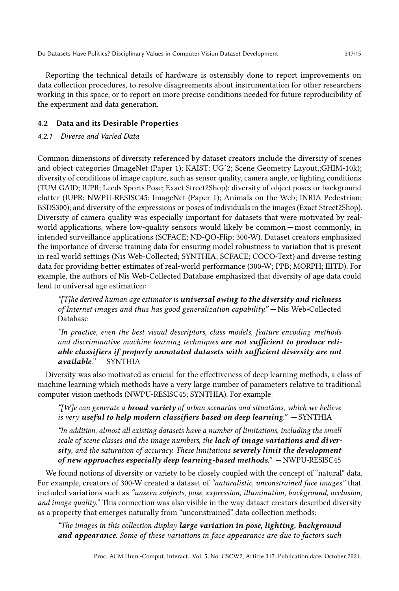Reporting the technical details of hardware is ostensibly done to report improvements on data collection procedures, to resolve disagreements about instrumentation for other researchers working in this space, or to report on more precise conditions needed for future reproducibility of the experiment and data generation.

# 4.2 Data and its Desirable Properties

# <span id="page-14-0"></span>4.2.1 Diverse and Varied Data

Common dimensions of diversity referenced by dataset creators include the diversity of scenes and object categories (ImageNet (Paper 1); KAIST; UGˆ2; Scene Geometry Layout,;GHIM-10k); diversity of conditions of image capture, such as sensor quality, camera angle, or lighting conditions (TUM GAID; IUPR; Leeds Sports Pose; Exact Street2Shop); diversity of object poses or background clutter (IUPR; NWPU-RESISC45; ImageNet (Paper 1); Animals on the Web; INRIA Pedestrian; BSDS300); and diversity of the expressions or poses of individuals in the images (Exact Street2Shop). Diversity of camera quality was especially important for datasets that were motivated by realworld applications, where low-quality sensors would likely be common — most commonly, in intended surveillance applications (SCFACE; ND-QO-Flip; 300-W). Dataset creators emphasized the importance of diverse training data for ensuring model robustness to variation that is present in real world settings (Nis Web-Collected; SYNTHIA; SCFACE; COCO-Text) and diverse testing data for providing better estimates of real-world performance (300-W; PPB; MORPH; IIITD). For example, the authors of Nis Web-Collected Database emphasized that diversity of age data could lend to universal age estimation:

"[T]he derived human age estimator is **universal owing to the diversity and richness** of Internet images and thus has good generalization capability." — Nis Web-Collected Database

"In practice, even the best visual descriptors, class models, feature encoding methods and discriminative machine learning techniques are not sufficient to produce reliable classifiers if properly annotated datasets with sufficient diversity are not available." — SYNTHIA

Diversity was also motivated as crucial for the effectiveness of deep learning methods, a class of machine learning which methods have a very large number of parameters relative to traditional computer vision methods (NWPU-RESISC45; SYNTHIA). For example:

"[W]e can generate a **broad variety** of urban scenarios and situations, which we believe is very useful to help modern classifiers based on deep learning."  $-$  SYNTHIA

"In addition, almost all existing datasets have a number of limitations, including the small scale of scene classes and the image numbers, the lack of image variations and diversity, and the saturation of accuracy. These limitations severely limit the development of new approaches especially deep learning-based methods." — NWPU-RESISC45

We found notions of diversity or variety to be closely coupled with the concept of "natural" data. For example, creators of 300-W created a dataset of "naturalistic, unconstrained face images" that included variations such as "unseen subjects, pose, expression, illumination, background, occlusion, and image quality." This connection was also visible in the way dataset creators described diversity as a property that emerges naturally from "unconstrained" data collection methods:

"The images in this collection display **large variation in pose, lighting, background** and appearance. Some of these variations in face appearance are due to factors such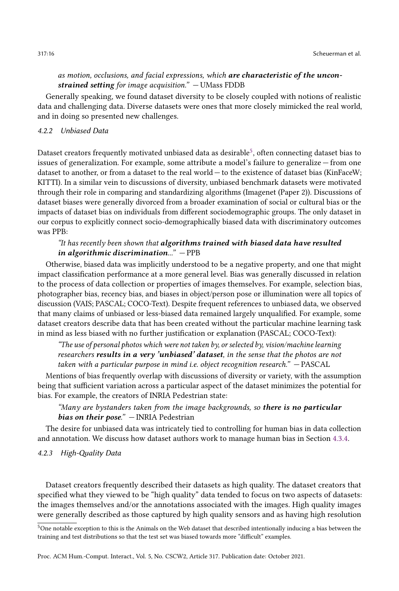# as motion, occlusions, and facial expressions, which are characteristic of the unconstrained setting for image acquisition." - UMass FDDB

Generally speaking, we found dataset diversity to be closely coupled with notions of realistic data and challenging data. Diverse datasets were ones that more closely mimicked the real world, and in doing so presented new challenges.

# 4.2.2 Unbiased Data

Dataset creators frequently motivated unbiased data as desirable $^5$  $^5$ , often connecting dataset bias to issues of generalization. For example, some attribute a model's failure to generalize — from one dataset to another, or from a dataset to the real world — to the existence of dataset bias (KinFaceW; KITTI). In a similar vein to discussions of diversity, unbiased benchmark datasets were motivated through their role in comparing and standardizing algorithms (Imagenet (Paper 2)). Discussions of dataset biases were generally divorced from a broader examination of social or cultural bias or the impacts of dataset bias on individuals from different sociodemographic groups. The only dataset in our corpus to explicitly connect socio-demographically biased data with discriminatory outcomes was PPB:

# "It has recently been shown that algorithms trained with biased data have resulted in algorithmic discrimination..." — PPB

Otherwise, biased data was implicitly understood to be a negative property, and one that might impact classification performance at a more general level. Bias was generally discussed in relation to the process of data collection or properties of images themselves. For example, selection bias, photographer bias, recency bias, and biases in object/person pose or illumination were all topics of discussion (VAIS; PASCAL; COCO-Text). Despite frequent references to unbiased data, we observed that many claims of unbiased or less-biased data remained largely unqualified. For example, some dataset creators describe data that has been created without the particular machine learning task in mind as less biased with no further justification or explanation (PASCAL; COCO-Text):

"The use of personal photos which were not taken by, or selected by, vision/machine learning researchers results in a very 'unbiased' dataset, in the sense that the photos are not taken with a particular purpose in mind i.e. object recognition research." — PASCAL

Mentions of bias frequently overlap with discussions of diversity or variety, with the assumption being that sufficient variation across a particular aspect of the dataset minimizes the potential for bias. For example, the creators of INRIA Pedestrian state:

# "Many are bystanders taken from the image backgrounds, so there is no particular bias on their pose."  $-$  INRIA Pedestrian

The desire for unbiased data was intricately tied to controlling for human bias in data collection and annotation. We discuss how dataset authors work to manage human bias in Section [4.3.4.](#page-22-0)

# <span id="page-15-1"></span>4.2.3 High-Quality Data

Dataset creators frequently described their datasets as high quality. The dataset creators that specified what they viewed to be "high quality" data tended to focus on two aspects of datasets: the images themselves and/or the annotations associated with the images. High quality images were generally described as those captured by high quality sensors and as having high resolution

<span id="page-15-0"></span><sup>5</sup>One notable exception to this is the Animals on the Web dataset that described intentionally inducing a bias between the training and test distributions so that the test set was biased towards more "difficult" examples.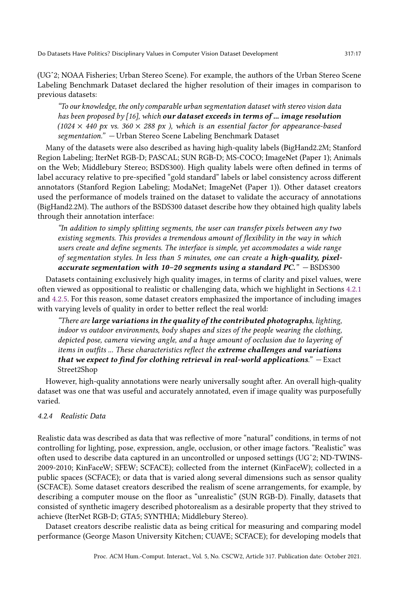(UGˆ2; NOAA Fisheries; Urban Stereo Scene). For example, the authors of the Urban Stereo Scene Labeling Benchmark Dataset declared the higher resolution of their images in comparison to previous datasets:

"To our knowledge, the only comparable urban segmentation dataset with stereo vision data has been proposed by [16], which **our dataset exceeds in terms of ... image resolution** (1024  $\times$  440 px vs. 360  $\times$  288 px), which is an essential factor for appearance-based segmentation." — Urban Stereo Scene Labeling Benchmark Dataset

Many of the datasets were also described as having high-quality labels (BigHand2.2M; Stanford Region Labeling; IterNet RGB-D; PASCAL; SUN RGB-D; MS-COCO; ImageNet (Paper 1); Animals on the Web; Middlebury Stereo; BSDS300). High quality labels were often defined in terms of label accuracy relative to pre-specified "gold standard" labels or label consistency across different annotators (Stanford Region Labeling; ModaNet; ImageNet (Paper 1)). Other dataset creators used the performance of models trained on the dataset to validate the accuracy of annotations (BigHand2.2M). The authors of the BSDS300 dataset describe how they obtained high quality labels through their annotation interface:

"In addition to simply splitting segments, the user can transfer pixels between any two existing segments. This provides a tremendous amount of flexibility in the way in which users create and define segments. The interface is simple, yet accommodates a wide range of segmentation styles. In less than 5 minutes, one can create a high-quality, pixelaccurate segmentation with  $10-20$  segments using a standard PC."  $-$  BSDS300

Datasets containing exclusively high quality images, in terms of clarity and pixel values, were often viewed as oppositional to realistic or challenging data, which we highlight in Sections [4.2.1](#page-14-0) and [4.2.5.](#page-17-0) For this reason, some dataset creators emphasized the importance of including images with varying levels of quality in order to better reflect the real world:

"There are large variations in the quality of the contributed photographs, lighting, indoor vs outdoor environments, body shapes and sizes of the people wearing the clothing, depicted pose, camera viewing angle, and a huge amount of occlusion due to layering of items in outfits ... These characteristics reflect the extreme challenges and variations that we expect to find for clothing retrieval in real-world applications."  $-$  Exact Street2Shop

However, high-quality annotations were nearly universally sought after. An overall high-quality dataset was one that was useful and accurately annotated, even if image quality was purposefully varied.

# <span id="page-16-0"></span>4.2.4 Realistic Data

Realistic data was described as data that was reflective of more "natural" conditions, in terms of not controlling for lighting, pose, expression, angle, occlusion, or other image factors. "Realistic" was often used to describe data captured in an uncontrolled or unposed settings (UGˆ2; ND-TWINS-2009-2010; KinFaceW; SFEW; SCFACE); collected from the internet (KinFaceW); collected in a public spaces (SCFACE); or data that is varied along several dimensions such as sensor quality (SCFACE). Some dataset creators described the realism of scene arrangements, for example, by describing a computer mouse on the floor as "unrealistic" (SUN RGB-D). Finally, datasets that consisted of synthetic imagery described photorealism as a desirable property that they strived to achieve (IterNet RGB-D; GTA5; SYNTHIA; Middlebury Stereo).

Dataset creators describe realistic data as being critical for measuring and comparing model performance (George Mason University Kitchen; CUAVE; SCFACE); for developing models that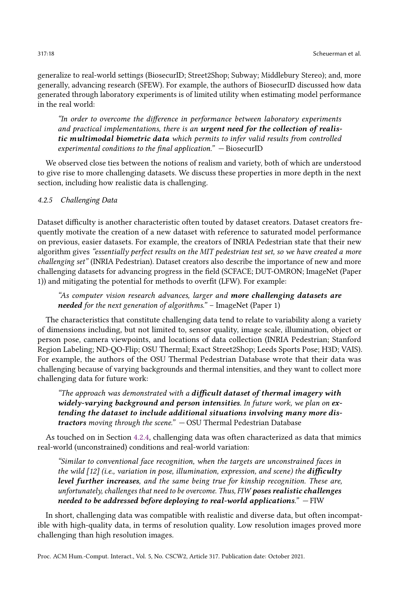generalize to real-world settings (BiosecurID; Street2Shop; Subway; Middlebury Stereo); and, more generally, advancing research (SFEW). For example, the authors of BiosecurID discussed how data generated through laboratory experiments is of limited utility when estimating model performance in the real world:

"In order to overcome the difference in performance between laboratory experiments and practical implementations, there is an urgent need for the collection of realistic multimodal biometric data which permits to infer valid results from controlled experimental conditions to the final application." — BiosecurID

We observed close ties between the notions of realism and variety, both of which are understood to give rise to more challenging datasets. We discuss these properties in more depth in the next section, including how realistic data is challenging.

# <span id="page-17-0"></span>4.2.5 Challenging Data

Dataset difficulty is another characteristic often touted by dataset creators. Dataset creators frequently motivate the creation of a new dataset with reference to saturated model performance on previous, easier datasets. For example, the creators of INRIA Pedestrian state that their new algorithm gives "essentially perfect results on the MIT pedestrian test set, so we have created a more challenging set" (INRIA Pedestrian). Dataset creators also describe the importance of new and more challenging datasets for advancing progress in the field (SCFACE; DUT-OMRON; ImageNet (Paper 1)) and mitigating the potential for methods to overfit (LFW). For example:

"As computer vision research advances, larger and more challenging datasets are needed for the next generation of algorithms." – ImageNet (Paper 1)

The characteristics that constitute challenging data tend to relate to variability along a variety of dimensions including, but not limited to, sensor quality, image scale, illumination, object or person pose, camera viewpoints, and locations of data collection (INRIA Pedestrian; Stanford Region Labeling; ND-QO-Flip; OSU Thermal; Exact Street2Shop; Leeds Sports Pose; H3D; VAIS). For example, the authors of the OSU Thermal Pedestrian Database wrote that their data was challenging because of varying backgrounds and thermal intensities, and they want to collect more challenging data for future work:

"The approach was demonstrated with a difficult dataset of thermal imagery with widely-varying background and person intensities. In future work, we plan on  $ex$ tending the dataset to include additional situations involving many more distractors moving through the scene."  $-$  OSU Thermal Pedestrian Database

As touched on in Section [4.2.4,](#page-16-0) challenging data was often characterized as data that mimics real-world (unconstrained) conditions and real-world variation:

"Similar to conventional face recognition, when the targets are unconstrained faces in the wild  $[12]$  (i.e., variation in pose, illumination, expression, and scene) the **difficulty** level further increases, and the same being true for kinship recognition. These are, unfortunately, challenges that need to be overcome. Thus, FIW poses realistic challenges needed to be addressed before deploying to real-world applications."  $-$  FIW

<span id="page-17-1"></span>In short, challenging data was compatible with realistic and diverse data, but often incompatible with high-quality data, in terms of resolution quality. Low resolution images proved more challenging than high resolution images.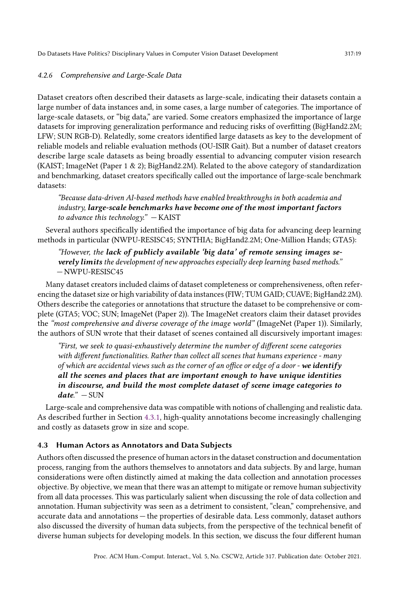# 4.2.6 Comprehensive and Large-Scale Data

Dataset creators often described their datasets as large-scale, indicating their datasets contain a large number of data instances and, in some cases, a large number of categories. The importance of large-scale datasets, or "big data," are varied. Some creators emphasized the importance of large datasets for improving generalization performance and reducing risks of overfitting (BigHand2.2M; LFW; SUN RGB-D). Relatedly, some creators identified large datasets as key to the development of reliable models and reliable evaluation methods (OU-ISIR Gait). But a number of dataset creators describe large scale datasets as being broadly essential to advancing computer vision research (KAIST; ImageNet (Paper 1 & 2); BigHand2.2M). Related to the above category of standardization and benchmarking, dataset creators specifically called out the importance of large-scale benchmark datasets:

"Because data-driven AI-based methods have enabled breakthroughs in both academia and industry, large-scale benchmarks have become one of the most important factors to advance this technology." — KAIST

Several authors specifically identified the importance of big data for advancing deep learning methods in particular (NWPU-RESISC45; SYNTHIA; BigHand2.2M; One-Million Hands; GTA5):

"However, the lack of publicly available 'big data' of remote sensing images severely limits the development of new approaches especially deep learning based methods." — NWPU-RESISC45

Many dataset creators included claims of dataset completeness or comprehensiveness, often referencing the dataset size or high variability of data instances (FIW; TUM GAID; CUAVE; BigHand2.2M). Others describe the categories or annotations that structure the dataset to be comprehensive or complete (GTA5; VOC; SUN; ImageNet (Paper 2)). The ImageNet creators claim their dataset provides the "most comprehensive and diverse coverage of the image world" (ImageNet (Paper 1)). Similarly, the authors of SUN wrote that their dataset of scenes contained all discursively important images:

"First, we seek to quasi-exhaustively determine the number of different scene categories with different functionalities. Rather than collect all scenes that humans experience - many of which are accidental views such as the corner of an office or edge of a door - we identify all the scenes and places that are important enough to have unique identities in discourse, and build the most complete dataset of scene image categories to  $date." - SUN$ 

Large-scale and comprehensive data was compatible with notions of challenging and realistic data. As described further in Section [4.3.1,](#page-19-0) high-quality annotations become increasingly challenging and costly as datasets grow in size and scope.

# 4.3 Human Actors as Annotators and Data Subjects

Authors often discussed the presence of human actors in the dataset construction and documentation process, ranging from the authors themselves to annotators and data subjects. By and large, human considerations were often distinctly aimed at making the data collection and annotation processes objective. By objective, we mean that there was an attempt to mitigate or remove human subjectivity from all data processes. This was particularly salient when discussing the role of data collection and annotation. Human subjectivity was seen as a detriment to consistent, "clean," comprehensive, and accurate data and annotations — the properties of desirable data. Less commonly, dataset authors also discussed the diversity of human data subjects, from the perspective of the technical benefit of diverse human subjects for developing models. In this section, we discuss the four different human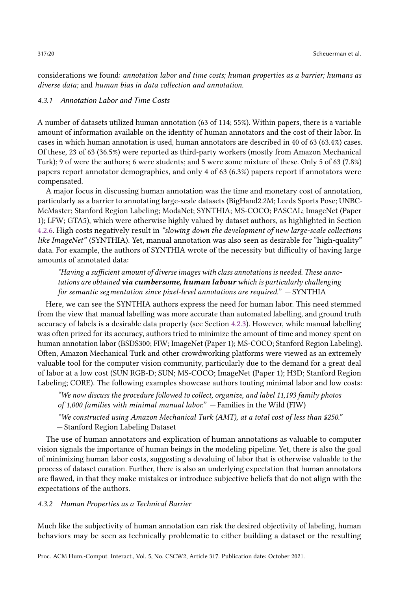considerations we found: annotation labor and time costs; human properties as a barrier; humans as diverse data; and human bias in data collection and annotation.

# <span id="page-19-0"></span>4.3.1 Annotation Labor and Time Costs

A number of datasets utilized human annotation (63 of 114; 55%). Within papers, there is a variable amount of information available on the identity of human annotators and the cost of their labor. In cases in which human annotation is used, human annotators are described in 40 of 63 (63.4%) cases. Of these, 23 of 63 (36.5%) were reported as third-party workers (mostly from Amazon Mechanical Turk); 9 of were the authors; 6 were students; and 5 were some mixture of these. Only 5 of 63 (7.8%) papers report annotator demographics, and only 4 of 63 (6.3%) papers report if annotators were compensated.

A major focus in discussing human annotation was the time and monetary cost of annotation, particularly as a barrier to annotating large-scale datasets (BigHand2.2M; Leeds Sports Pose; UNBC-McMaster; Stanford Region Labeling; ModaNet; SYNTHIA; MS-COCO; PASCAL; ImageNet (Paper 1); LFW; GTA5), which were otherwise highly valued by dataset authors, as highlighted in Section [4.2.6.](#page-17-1) High costs negatively result in "slowing down the development of new large-scale collections like ImageNet" (SYNTHIA). Yet, manual annotation was also seen as desirable for "high-quality" data. For example, the authors of SYNTHIA wrote of the necessity but difficulty of having large amounts of annotated data:

"Having a sufficient amount of diverse images with class annotations is needed. These annotations are obtained via cumbersome, human labour which is particularly challenging for semantic segmentation since pixel-level annotations are required."  $-$  SYNTHIA

Here, we can see the SYNTHIA authors express the need for human labor. This need stemmed from the view that manual labelling was more accurate than automated labelling, and ground truth accuracy of labels is a desirable data property (see Section [4.2.3\)](#page-15-1). However, while manual labelling was often prized for its accuracy, authors tried to minimize the amount of time and money spent on human annotation labor (BSDS300; FIW; ImageNet (Paper 1); MS-COCO; Stanford Region Labeling). Often, Amazon Mechanical Turk and other crowdworking platforms were viewed as an extremely valuable tool for the computer vision community, particularly due to the demand for a great deal of labor at a low cost (SUN RGB-D; SUN; MS-COCO; ImageNet (Paper 1); H3D; Stanford Region Labeling; CORE). The following examples showcase authors touting minimal labor and low costs:

"We now discuss the procedure followed to collect, organize, and label 11,193 family photos of 1,000 families with minimal manual labor." — Families in the Wild (FIW)

"We constructed using Amazon Mechanical Turk (AMT), at a total cost of less than \$250."

— Stanford Region Labeling Dataset

The use of human annotators and explication of human annotations as valuable to computer vision signals the importance of human beings in the modeling pipeline. Yet, there is also the goal of minimizing human labor costs, suggesting a devaluing of labor that is otherwise valuable to the process of dataset curation. Further, there is also an underlying expectation that human annotators are flawed, in that they make mistakes or introduce subjective beliefs that do not align with the expectations of the authors.

### 4.3.2 Human Properties as a Technical Barrier

Much like the subjectivity of human annotation can risk the desired objectivity of labeling, human behaviors may be seen as technically problematic to either building a dataset or the resulting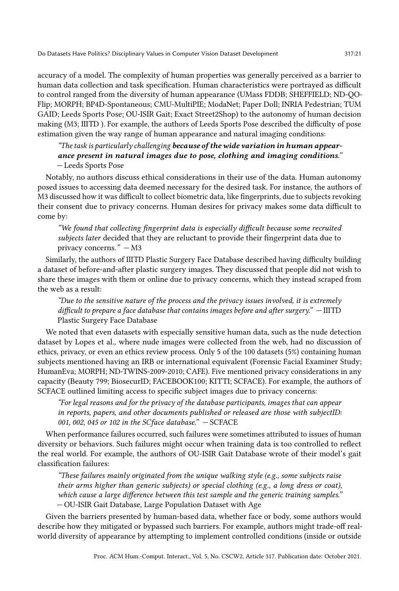accuracy of a model. The complexity of human properties was generally perceived as a barrier to human data collection and task specification. Human characteristics were portrayed as difficult to control ranged from the diversity of human appearance (UMass FDDB; SHEFFIELD; ND-QO-Flip; MORPH; BP4D-Spontaneous; CMU-MultiPIE; ModaNet; Paper Doll; INRIA Pedestrian; TUM GAID; Leeds Sports Pose; OU-ISIR Gait; Exact Street2Shop) to the autonomy of human decision making (M3; IIITD ). For example, the authors of Leeds Sports Pose described the difficulty of pose estimation given the way range of human appearance and natural imaging conditions:

"The task is particularly challenging **because of the wide variation in human appear**ance present in natural images due to pose, clothing and imaging conditions." — Leeds Sports Pose

Notably, no authors discuss ethical considerations in their use of the data. Human autonomy posed issues to accessing data deemed necessary for the desired task. For instance, the authors of M3 discussed how it was difficult to collect biometric data, like fingerprints, due to subjects revoking their consent due to privacy concerns. Human desires for privacy makes some data difficult to come by:

"We found that collecting fingerprint data is especially difficult because some recruited subjects later decided that they are reluctant to provide their fingerprint data due to privacy concerns." — M3

Similarly, the authors of IIITD Plastic Surgery Face Database described having difficulty building a dataset of before-and-after plastic surgery images. They discussed that people did not wish to share these images with them or online due to privacy concerns, which they instead scraped from the web as a result:

"Due to the sensitive nature of the process and the privacy issues involved, it is extremely difficult to prepare a face database that contains images before and after surgery." — IIITD Plastic Surgery Face Database

We noted that even datasets with especially sensitive human data, such as the nude detection dataset by Lopes et al., where nude images were collected from the web, had no discussion of ethics, privacy, or even an ethics review process. Only 5 of the 100 datasets (5%) containing human subjects mentioned having an IRB or international equivalent (Forensic Facial Examiner Study; HumanEva; MORPH; ND-TWINS-2009-2010; CAFE). Five mentioned privacy considerations in any capacity (Beauty 799; BiosecurID; FACEBOOK100; KITTI; SCFACE). For example, the authors of SCFACE outlined limiting access to specific subject images due to privacy concerns:

"For legal reasons and for the privacy of the database participants, images that can appear in reports, papers, and other documents published or released are those with subjectID: 001, 002, 045 or 102 in the SCface database."  $-$  SCFACE

When performance failures occurred, such failures were sometimes attributed to issues of human diversity or behaviors. Such failures might occur when training data is too controlled to reflect the real world. For example, the authors of OU-ISIR Gait Database wrote of their model's gait classification failures:

"These failures mainly originated from the unique walking style (e.g., some subjects raise their arms higher than generic subjects) or special clothing (e.g., a long dress or coat), which cause a large difference between this test sample and the generic training samples." — OU-ISIR Gait Database, Large Population Dataset with Age

Given the barriers presented by human-based data, whether face or body, some authors would describe how they mitigated or bypassed such barriers. For example, authors might trade-off realworld diversity of appearance by attempting to implement controlled conditions (inside or outside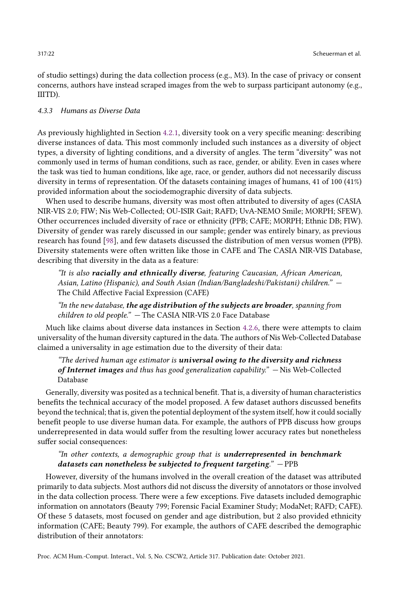of studio settings) during the data collection process (e.g., M3). In the case of privacy or consent concerns, authors have instead scraped images from the web to surpass participant autonomy (e.g., IIITD).

#### 4.3.3 Humans as Diverse Data

As previously highlighted in Section [4.2.1,](#page-14-0) diversity took on a very specific meaning: describing diverse instances of data. This most commonly included such instances as a diversity of object types, a diversity of lighting conditions, and a diversity of angles. The term "diversity" was not commonly used in terms of human conditions, such as race, gender, or ability. Even in cases where the task was tied to human conditions, like age, race, or gender, authors did not necessarily discuss diversity in terms of representation. Of the datasets containing images of humans, 41 of 100 (41%) provided information about the sociodemographic diversity of data subjects.

When used to describe humans, diversity was most often attributed to diversity of ages (CASIA NIR-VIS 2.0; FIW; Nis Web-Collected; OU-ISIR Gait; RAFD; UvA-NEMO Smile; MORPH; SFEW). Other occurrences included diversity of race or ethnicity (PPB; CAFE; MORPH; Ethnic DB; FIW). Diversity of gender was rarely discussed in our sample; gender was entirely binary, as previous research has found [\[98\]](#page-35-9), and few datasets discussed the distribution of men versus women (PPB). Diversity statements were often written like those in CAFE and The CASIA NIR-VIS Database, describing that diversity in the data as a feature:

"It is also racially and ethnically diverse, featuring Caucasian, African American, Asian, Latino (Hispanic), and South Asian (Indian/Bangladeshi/Pakistani) children." — The Child Affective Facial Expression (CAFE)

"In the new database, the age distribution of the subjects are broader, spanning from children to old people." — The CASIA NIR-VIS 2.0 Face Database

Much like claims about diverse data instances in Section [4.2.6,](#page-17-1) there were attempts to claim universality of the human diversity captured in the data. The authors of Nis Web-Collected Database claimed a universality in age estimation due to the diversity of their data:

# "The derived human age estimator is **universal owing to the diversity and richness** of Internet images and thus has good generalization capability." — Nis Web-Collected Database

Generally, diversity was posited as a technical benefit. That is, a diversity of human characteristics benefits the technical accuracy of the model proposed. A few dataset authors discussed benefits beyond the technical; that is, given the potential deployment of the system itself, how it could socially benefit people to use diverse human data. For example, the authors of PPB discuss how groups underrepresented in data would suffer from the resulting lower accuracy rates but nonetheless suffer social consequences:

# "In other contexts, a demographic group that is underrepresented in benchmark datasets can nonetheless be subjected to frequent targeting." — PPB

However, diversity of the humans involved in the overall creation of the dataset was attributed primarily to data subjects. Most authors did not discuss the diversity of annotators or those involved in the data collection process. There were a few exceptions. Five datasets included demographic information on annotators (Beauty 799; Forensic Facial Examiner Study; ModaNet; RAFD; CAFE). Of these 5 datasets, most focused on gender and age distribution, but 2 also provided ethnicity information (CAFE; Beauty 799). For example, the authors of CAFE described the demographic distribution of their annotators: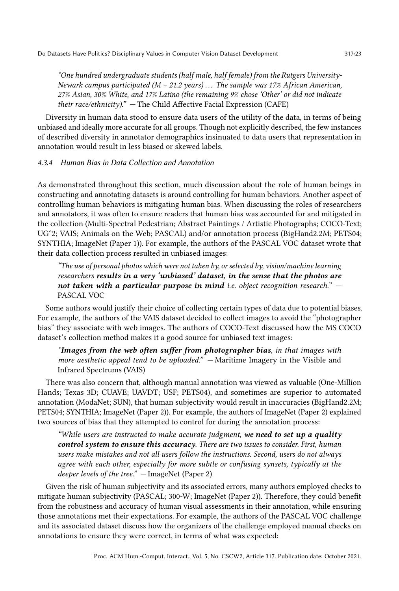"One hundred undergraduate students (half male, half female) from the Rutgers University-Newark campus participated ( $M = 21.2$  years) ... The sample was 17% African American, 27% Asian, 30% White, and 17% Latino (the remaining 9% chose 'Other' or did not indicate their race/ethnicity)." — The Child Affective Facial Expression (CAFE)

Diversity in human data stood to ensure data users of the utility of the data, in terms of being unbiased and ideally more accurate for all groups. Though not explicitly described, the few instances of described diversity in annotator demographics insinuated to data users that representation in annotation would result in less biased or skewed labels.

# <span id="page-22-0"></span>4.3.4 Human Bias in Data Collection and Annotation

As demonstrated throughout this section, much discussion about the role of human beings in constructing and annotating datasets is around controlling for human behaviors. Another aspect of controlling human behaviors is mitigating human bias. When discussing the roles of researchers and annotators, it was often to ensure readers that human bias was accounted for and mitigated in the collection (Multi-Spectral Pedestrian; Abstract Paintings / Artistic Photographs; COCO-Text; UGˆ2; VAIS; Animals on the Web; PASCAL) and/or annotation process (BigHand2.2M; PETS04; SYNTHIA; ImageNet (Paper 1)). For example, the authors of the PASCAL VOC dataset wrote that their data collection process resulted in unbiased images:

"The use of personal photos which were not taken by, or selected by, vision/machine learning researchers results in a very 'unbiased' dataset, in the sense that the photos are not taken with a particular purpose in mind i.e. object recognition research."  $-$ PASCAL VOC

Some authors would justify their choice of collecting certain types of data due to potential biases. For example, the authors of the VAIS dataset decided to collect images to avoid the "photographer bias" they associate with web images. The authors of COCO-Text discussed how the MS COCO dataset's collection method makes it a good source for unbiased text images:

"Images from the web often suffer from photographer bias, in that images with more aesthetic appeal tend to be uploaded." — Maritime Imagery in the Visible and Infrared Spectrums (VAIS)

There was also concern that, although manual annotation was viewed as valuable (One-Million Hands; Texas 3D; CUAVE; UAVDT; USF; PETS04), and sometimes are superior to automated annotation (ModaNet; SUN), that human subjectivity would result in inaccuracies (BigHand2.2M; PETS04; SYNTHIA; ImageNet (Paper 2)). For example, the authors of ImageNet (Paper 2) explained two sources of bias that they attempted to control for during the annotation process:

"While users are instructed to make accurate judgment, we need to set up a quality control system to ensure this accuracy. There are two issues to consider. First, human users make mistakes and not all users follow the instructions. Second, users do not always agree with each other, especially for more subtle or confusing synsets, typically at the deeper levels of the tree." — ImageNet (Paper 2)

Given the risk of human subjectivity and its associated errors, many authors employed checks to mitigate human subjectivity (PASCAL; 300-W; ImageNet (Paper 2)). Therefore, they could benefit from the robustness and accuracy of human visual assessments in their annotation, while ensuring those annotations met their expectations. For example, the authors of the PASCAL VOC challenge and its associated dataset discuss how the organizers of the challenge employed manual checks on annotations to ensure they were correct, in terms of what was expected: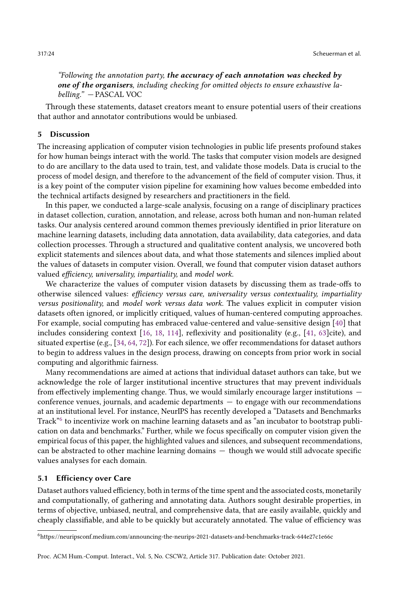"Following the annotation party, the accuracy of each annotation was checked by one of the organisers, including checking for omitted objects to ensure exhaustive labelling." — PASCAL VOC

Through these statements, dataset creators meant to ensure potential users of their creations that author and annotator contributions would be unbiased.

## 5 Discussion

The increasing application of computer vision technologies in public life presents profound stakes for how human beings interact with the world. The tasks that computer vision models are designed to do are ancillary to the data used to train, test, and validate those models. Data is crucial to the process of model design, and therefore to the advancement of the field of computer vision. Thus, it is a key point of the computer vision pipeline for examining how values become embedded into the technical artifacts designed by researchers and practitioners in the field.

In this paper, we conducted a large-scale analysis, focusing on a range of disciplinary practices in dataset collection, curation, annotation, and release, across both human and non-human related tasks. Our analysis centered around common themes previously identified in prior literature on machine learning datasets, including data annotation, data availability, data categories, and data collection processes. Through a structured and qualitative content analysis, we uncovered both explicit statements and silences about data, and what those statements and silences implied about the values of datasets in computer vision. Overall, we found that computer vision dataset authors valued efficiency, universality, impartiality, and model work.

We characterize the values of computer vision datasets by discussing them as trade-offs to otherwise silenced values: efficiency versus care, universality versus contextuality, impartiality versus positionality, and model work versus data work. The values explicit in computer vision datasets often ignored, or implicitly critiqued, values of human-centered computing approaches. For example, social computing has embraced value-centered and value-sensitive design [\[40\]](#page-33-6) that includes considering context [\[16,](#page-32-19) [18,](#page-32-20) [114\]](#page-36-10), reflexivity and positionality (e.g., [\[41,](#page-33-15) [63\]](#page-34-14)cite), and situated expertise (e.g., [\[34,](#page-32-21) [64,](#page-34-15) [72\]](#page-34-16)). For each silence, we offer recommendations for dataset authors to begin to address values in the design process, drawing on concepts from prior work in social computing and algorithmic fairness.

Many recommendations are aimed at actions that individual dataset authors can take, but we acknowledge the role of larger institutional incentive structures that may prevent individuals from effectively implementing change. Thus, we would similarly encourage larger institutions conference venues, journals, and academic departments — to engage with our recommendations at an institutional level. For instance, NeurIPS has recently developed a "Datasets and Benchmarks Track"<sup>[6](#page-23-0)</sup> to incentivize work on machine learning datasets and as "an incubator to bootstrap publication on data and benchmarks." Further, while we focus specifically on computer vision given the empirical focus of this paper, the highlighted values and silences, and subsequent recommendations, can be abstracted to other machine learning domains — though we would still advocate specific values analyses for each domain.

#### 5.1 Efficiency over Care

Dataset authors valued efficiency, both in terms of the time spent and the associated costs, monetarily and computationally, of gathering and annotating data. Authors sought desirable properties, in terms of objective, unbiased, neutral, and comprehensive data, that are easily available, quickly and cheaply classifiable, and able to be quickly but accurately annotated. The value of efficiency was

<span id="page-23-0"></span><sup>6</sup>https://neuripsconf.medium.com/announcing-the-neurips-2021-datasets-and-benchmarks-track-644e27c1e66c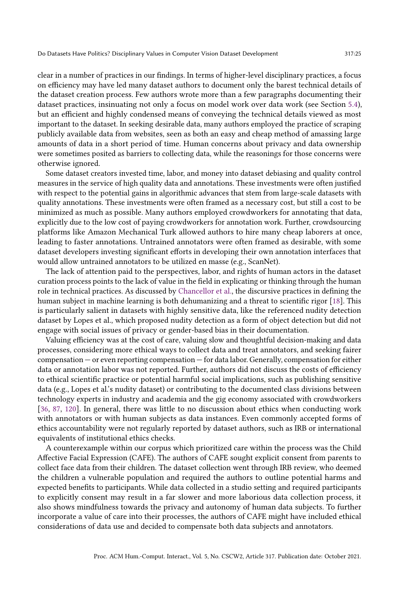clear in a number of practices in our findings. In terms of higher-level disciplinary practices, a focus on efficiency may have led many dataset authors to document only the barest technical details of the dataset creation process. Few authors wrote more than a few paragraphs documenting their dataset practices, insinuating not only a focus on model work over data work (see Section [5.4\)](#page-29-0), but an efficient and highly condensed means of conveying the technical details viewed as most important to the dataset. In seeking desirable data, many authors employed the practice of scraping publicly available data from websites, seen as both an easy and cheap method of amassing large amounts of data in a short period of time. Human concerns about privacy and data ownership were sometimes posited as barriers to collecting data, while the reasonings for those concerns were otherwise ignored.

Some dataset creators invested time, labor, and money into dataset debiasing and quality control measures in the service of high quality data and annotations. These investments were often justified with respect to the potential gains in algorithmic advances that stem from large-scale datasets with quality annotations. These investments were often framed as a necessary cost, but still a cost to be minimized as much as possible. Many authors employed crowdworkers for annotating that data, explicitly due to the low cost of paying crowdworkers for annotation work. Further, crowdsourcing platforms like Amazon Mechanical Turk allowed authors to hire many cheap laborers at once, leading to faster annotations. Untrained annotators were often framed as desirable, with some dataset developers investing significant efforts in developing their own annotation interfaces that would allow untrained annotators to be utilized en masse (e.g., ScanNet).

The lack of attention paid to the perspectives, labor, and rights of human actors in the dataset curation process points to the lack of value in the field in explicating or thinking through the human role in technical practices. As discussed by [Chancellor et al.,](#page-32-20) the discursive practices in defining the human subject in machine learning is both dehumanizing and a threat to scientific rigor [\[18\]](#page-32-20). This is particularly salient in datasets with highly sensitive data, like the referenced nudity detection dataset by Lopes et al., which proposed nudity detection as a form of object detection but did not engage with social issues of privacy or gender-based bias in their documentation.

Valuing efficiency was at the cost of care, valuing slow and thoughtful decision-making and data processes, considering more ethical ways to collect data and treat annotators, and seeking fairer compensation — or even reporting compensation — for data labor. Generally, compensation for either data or annotation labor was not reported. Further, authors did not discuss the costs of efficiency to ethical scientific practice or potential harmful social implications, such as publishing sensitive data (e.g., Lopes et al.'s nudity dataset) or contributing to the documented class divisions between technology experts in industry and academia and the gig economy associated with crowdworkers [\[36,](#page-33-16) [87,](#page-35-17) [120\]](#page-36-11). In general, there was little to no discussion about ethics when conducting work with annotators or with human subjects as data instances. Even commonly accepted forms of ethics accountability were not regularly reported by dataset authors, such as IRB or international equivalents of institutional ethics checks.

A counterexample within our corpus which prioritized care within the process was the Child Affective Facial Expression (CAFE). The authors of CAFE sought explicit consent from parents to collect face data from their children. The dataset collection went through IRB review, who deemed the children a vulnerable population and required the authors to outline potential harms and expected benefits to participants. While data collected in a studio setting and required participants to explicitly consent may result in a far slower and more laborious data collection process, it also shows mindfulness towards the privacy and autonomy of human data subjects. To further incorporate a value of care into their processes, the authors of CAFE might have included ethical considerations of data use and decided to compensate both data subjects and annotators.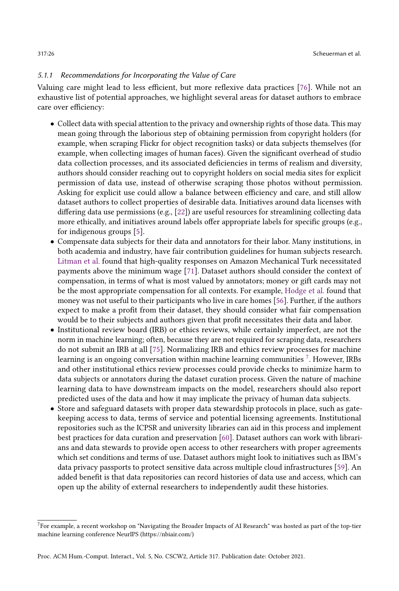### 5.1.1 Recommendations for Incorporating the Value of Care

Valuing care might lead to less efficient, but more reflexive data practices [\[76\]](#page-34-9). While not an exhaustive list of potential approaches, we highlight several areas for dataset authors to embrace care over efficiency:

- Collect data with special attention to the privacy and ownership rights of those data. This may mean going through the laborious step of obtaining permission from copyright holders (for example, when scraping Flickr for object recognition tasks) or data subjects themselves (for example, when collecting images of human faces). Given the significant overhead of studio data collection processes, and its associated deficiencies in terms of realism and diversity, authors should consider reaching out to copyright holders on social media sites for explicit permission of data use, instead of otherwise scraping those photos without permission. Asking for explicit use could allow a balance between efficiency and care, and still allow dataset authors to collect properties of desirable data. Initiatives around data licenses with differing data use permissions (e.g., [\[22\]](#page-32-22)) are useful resources for streamlining collecting data more ethically, and initiatives around labels offer appropriate labels for specific groups (e.g., for indigenous groups [\[5\]](#page-31-7).
- Compensate data subjects for their data and annotators for their labor. Many institutions, in both academia and industry, have fair contribution guidelines for human subjects research. [Litman et al.](#page-34-17) found that high-quality responses on Amazon Mechanical Turk necessitated payments above the minimum wage [\[71\]](#page-34-17). Dataset authors should consider the context of compensation, in terms of what is most valued by annotators; money or gift cards may not be the most appropriate compensation for all contexts. For example, [Hodge et al.](#page-33-17) found that money was not useful to their participants who live in care homes [\[56\]](#page-33-17). Further, if the authors expect to make a profit from their dataset, they should consider what fair compensation would be to their subjects and authors given that profit necessitates their data and labor.
- Institutional review board (IRB) or ethics reviews, while certainly imperfect, are not the norm in machine learning; often, because they are not required for scraping data, researchers do not submit an IRB at all [\[75\]](#page-34-18). Normalizing IRB and ethics review processes for machine learning is an ongoing conversation within machine learning communities  $^7.$  $^7.$  $^7.$  However, IRBs and other institutional ethics review processes could provide checks to minimize harm to data subjects or annotators during the dataset curation process. Given the nature of machine learning data to have downstream impacts on the model, researchers should also report predicted uses of the data and how it may implicate the privacy of human data subjects.
- Store and safeguard datasets with proper data stewardship protocols in place, such as gatekeeping access to data, terms of service and potential licensing agreements. Institutional repositories such as the ICPSR and university libraries can aid in this process and implement best practices for data curation and preservation [\[60\]](#page-33-18). Dataset authors can work with librarians and data stewards to provide open access to other researchers with proper agreements which set conditions and terms of use. Dataset authors might look to initiatives such as IBM's data privacy passports to protect sensitive data across multiple cloud infrastructures [\[59\]](#page-33-19). An added benefit is that data repositories can record histories of data use and access, which can open up the ability of external researchers to independently audit these histories.

<span id="page-25-0"></span><sup>7</sup>For example, a recent workshop on "Navigating the Broader Impacts of AI Research" was hosted as part of the top-tier machine learning conference NeurIPS (https://nbiair.com/)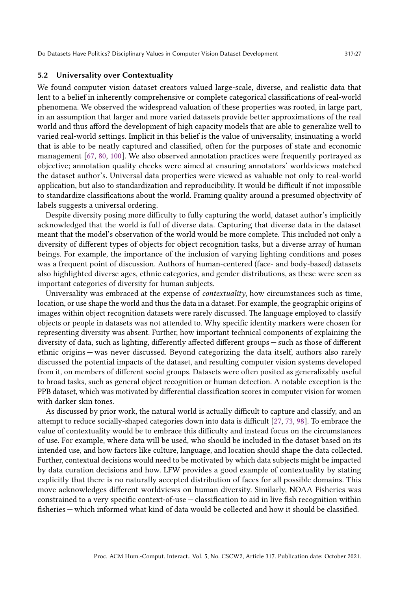#### 5.2 Universality over Contextuality

We found computer vision dataset creators valued large-scale, diverse, and realistic data that lent to a belief in inherently comprehensive or complete categorical classifications of real-world phenomena. We observed the widespread valuation of these properties was rooted, in large part, in an assumption that larger and more varied datasets provide better approximations of the real world and thus afford the development of high capacity models that are able to generalize well to varied real-world settings. Implicit in this belief is the value of universality, insinuating a world that is able to be neatly captured and classified, often for the purposes of state and economic management [\[67,](#page-34-19) [80,](#page-34-20) [100\]](#page-35-18). We also observed annotation practices were frequently portrayed as objective; annotation quality checks were aimed at ensuring annotators' worldviews matched the dataset author's. Universal data properties were viewed as valuable not only to real-world application, but also to standardization and reproducibility. It would be difficult if not impossible to standardize classifications about the world. Framing quality around a presumed objectivity of labels suggests a universal ordering.

Despite diversity posing more difficulty to fully capturing the world, dataset author's implicitly acknowledged that the world is full of diverse data. Capturing that diverse data in the dataset meant that the model's observation of the world would be more complete. This included not only a diversity of different types of objects for object recognition tasks, but a diverse array of human beings. For example, the importance of the inclusion of varying lighting conditions and poses was a frequent point of discussion. Authors of human-centered (face- and body-based) datasets also highlighted diverse ages, ethnic categories, and gender distributions, as these were seen as important categories of diversity for human subjects.

Universality was embraced at the expense of contextuality, how circumstances such as time, location, or use shape the world and thus the data in a dataset. For example, the geographic origins of images within object recognition datasets were rarely discussed. The language employed to classify objects or people in datasets was not attended to. Why specific identity markers were chosen for representing diversity was absent. Further, how important technical components of explaining the diversity of data, such as lighting, differently affected different groups — such as those of different ethnic origins — was never discussed. Beyond categorizing the data itself, authors also rarely discussed the potential impacts of the dataset, and resulting computer vision systems developed from it, on members of different social groups. Datasets were often posited as generalizably useful to broad tasks, such as general object recognition or human detection. A notable exception is the PPB dataset, which was motivated by differential classification scores in computer vision for women with darker skin tones.

As discussed by prior work, the natural world is actually difficult to capture and classify, and an attempt to reduce socially-shaped categories down into data is difficult [\[27,](#page-32-12) [73,](#page-34-21) [98\]](#page-35-9). To embrace the value of contextuality would be to embrace this difficulty and instead focus on the circumstances of use. For example, where data will be used, who should be included in the dataset based on its intended use, and how factors like culture, language, and location should shape the data collected. Further, contextual decisions would need to be motivated by which data subjects might be impacted by data curation decisions and how. LFW provides a good example of contextuality by stating explicitly that there is no naturally accepted distribution of faces for all possible domains. This move acknowledges different worldviews on human diversity. Similarly, NOAA Fisheries was constrained to a very specific context-of-use — classification to aid in live fish recognition within fisheries — which informed what kind of data would be collected and how it should be classified.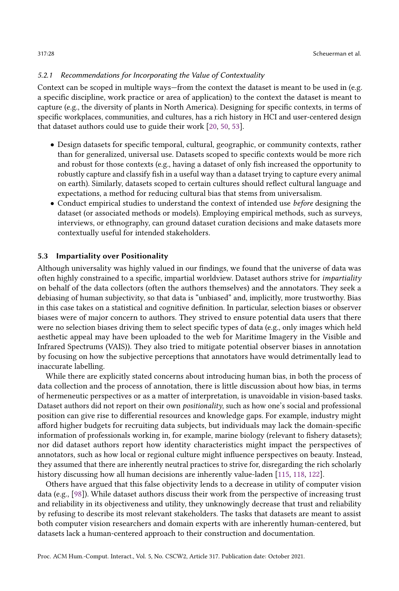#### 5.2.1 Recommendations for Incorporating the Value of Contextuality

Context can be scoped in multiple ways—from the context the dataset is meant to be used in (e.g. a specific discipline, work practice or area of application) to the context the dataset is meant to capture (e.g., the diversity of plants in North America). Designing for specific contexts, in terms of specific workplaces, communities, and cultures, has a rich history in HCI and user-centered design that dataset authors could use to guide their work [\[20,](#page-32-23) [50,](#page-33-20) [53\]](#page-33-21).

- Design datasets for specific temporal, cultural, geographic, or community contexts, rather than for generalized, universal use. Datasets scoped to specific contexts would be more rich and robust for those contexts (e.g., having a dataset of only fish increased the opportunity to robustly capture and classify fish in a useful way than a dataset trying to capture every animal on earth). Similarly, datasets scoped to certain cultures should reflect cultural language and expectations, a method for reducing cultural bias that stems from universalism.
- Conduct empirical studies to understand the context of intended use before designing the dataset (or associated methods or models). Employing empirical methods, such as surveys, interviews, or ethnography, can ground dataset curation decisions and make datasets more contextually useful for intended stakeholders.

#### 5.3 Impartiality over Positionality

Although universality was highly valued in our findings, we found that the universe of data was often highly constrained to a specific, impartial worldview. Dataset authors strive for impartiality on behalf of the data collectors (often the authors themselves) and the annotators. They seek a debiasing of human subjectivity, so that data is "unbiased" and, implicitly, more trustworthy. Bias in this case takes on a statistical and cognitive definition. In particular, selection biases or observer biases were of major concern to authors. They strived to ensure potential data users that there were no selection biases driving them to select specific types of data (e.g., only images which held aesthetic appeal may have been uploaded to the web for Maritime Imagery in the Visible and Infrared Spectrums (VAIS)). They also tried to mitigate potential observer biases in annotation by focusing on how the subjective perceptions that annotators have would detrimentally lead to inaccurate labelling.

While there are explicitly stated concerns about introducing human bias, in both the process of data collection and the process of annotation, there is little discussion about how bias, in terms of hermeneutic perspectives or as a matter of interpretation, is unavoidable in vision-based tasks. Dataset authors did not report on their own positionality, such as how one's social and professional position can give rise to differential resources and knowledge gaps. For example, industry might afford higher budgets for recruiting data subjects, but individuals may lack the domain-specific information of professionals working in, for example, marine biology (relevant to fishery datasets); nor did dataset authors report how identity characteristics might impact the perspectives of annotators, such as how local or regional culture might influence perspectives on beauty. Instead, they assumed that there are inherently neutral practices to strive for, disregarding the rich scholarly history discussing how all human decisions are inherently value-laden [\[115,](#page-36-12) [118,](#page-36-13) [122\]](#page-36-14).

Others have argued that this false objectivity lends to a decrease in utility of computer vision data (e.g., [\[98\]](#page-35-9)). While dataset authors discuss their work from the perspective of increasing trust and reliability in its objectiveness and utility, they unknowingly decrease that trust and reliability by refusing to describe its most relevant stakeholders. The tasks that datasets are meant to assist both computer vision researchers and domain experts with are inherently human-centered, but datasets lack a human-centered approach to their construction and documentation.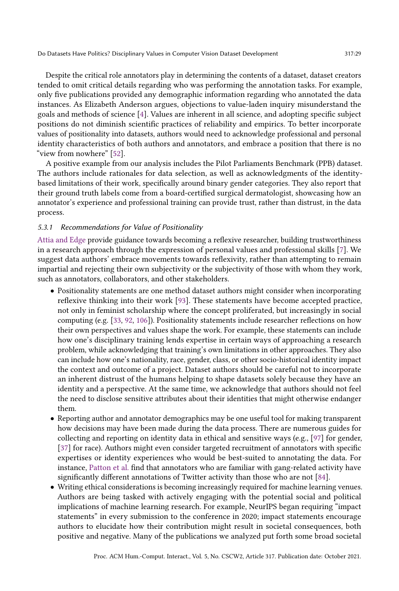Despite the critical role annotators play in determining the contents of a dataset, dataset creators tended to omit critical details regarding who was performing the annotation tasks. For example, only five publications provided any demographic information regarding who annotated the data instances. As Elizabeth Anderson argues, objections to value-laden inquiry misunderstand the goals and methods of science [\[4\]](#page-31-8). Values are inherent in all science, and adopting specific subject positions do not diminish scientific practices of reliability and empirics. To better incorporate values of positionality into datasets, authors would need to acknowledge professional and personal identity characteristics of both authors and annotators, and embrace a position that there is no "view from nowhere" [\[52\]](#page-33-13).

A positive example from our analysis includes the Pilot Parliaments Benchmark (PPB) dataset. The authors include rationales for data selection, as well as acknowledgments of the identitybased limitations of their work, specifically around binary gender categories. They also report that their ground truth labels come from a board-certified surgical dermatologist, showcasing how an annotator's experience and professional training can provide trust, rather than distrust, in the data process.

### 5.3.1 Recommendations for Value of Positionality

[Attia and Edge](#page-31-6) provide guidance towards becoming a reflexive researcher, building trustworthiness in a research approach through the expression of personal values and professional skills [\[7\]](#page-31-6). We suggest data authors' embrace movements towards reflexivity, rather than attempting to remain impartial and rejecting their own subjectivity or the subjectivity of those with whom they work, such as annotators, collaborators, and other stakeholders.

- Positionality statements are one method dataset authors might consider when incorporating reflexive thinking into their work [\[93\]](#page-35-19). These statements have become accepted practice, not only in feminist scholarship where the concept proliferated, but increasingly in social computing (e.g. [\[33,](#page-32-24) [92,](#page-35-20) [106\]](#page-35-21)). Positionality statements include researcher reflections on how their own perspectives and values shape the work. For example, these statements can include how one's disciplinary training lends expertise in certain ways of approaching a research problem, while acknowledging that training's own limitations in other approaches. They also can include how one's nationality, race, gender, class, or other socio-historical identity impact the context and outcome of a project. Dataset authors should be careful not to incorporate an inherent distrust of the humans helping to shape datasets solely because they have an identity and a perspective. At the same time, we acknowledge that authors should not feel the need to disclose sensitive attributes about their identities that might otherwise endanger them.
- Reporting author and annotator demographics may be one useful tool for making transparent how decisions may have been made during the data process. There are numerous guides for collecting and reporting on identity data in ethical and sensitive ways (e.g., [\[97\]](#page-35-22) for gender, [\[37\]](#page-33-22) for race). Authors might even consider targeted recruitment of annotators with specific expertises or identity experiences who would be best-suited to annotating the data. For instance, [Patton et al.](#page-34-22) find that annotators who are familiar with gang-related activity have significantly different annotations of Twitter activity than those who are not [\[84\]](#page-34-22).
- Writing ethical considerations is becoming increasingly required for machine learning venues. Authors are being tasked with actively engaging with the potential social and political implications of machine learning research. For example, NeurIPS began requiring "impact statements" in every submission to the conference in 2020; impact statements encourage authors to elucidate how their contribution might result in societal consequences, both positive and negative. Many of the publications we analyzed put forth some broad societal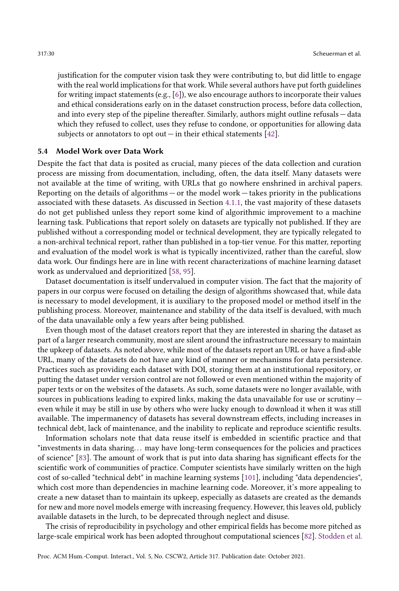justification for the computer vision task they were contributing to, but did little to engage with the real world implications for that work. While several authors have put forth guidelines for writing impact statements (e.g., [\[6\]](#page-31-9)), we also encourage authors to incorporate their values and ethical considerations early on in the dataset construction process, before data collection, and into every step of the pipeline thereafter. Similarly, authors might outline refusals — data which they refused to collect, uses they refuse to condone, or opportunities for allowing data subjects or annotators to opt out — in their ethical statements [\[42\]](#page-33-23).

# <span id="page-29-0"></span>5.4 Model Work over Data Work

Despite the fact that data is posited as crucial, many pieces of the data collection and curation process are missing from documentation, including, often, the data itself. Many datasets were not available at the time of writing, with URLs that go nowhere enshrined in archival papers. Reporting on the details of algorithms — or the model work — takes priority in the publications associated with these datasets. As discussed in Section [4.1.1,](#page-10-0) the vast majority of these datasets do not get published unless they report some kind of algorithmic improvement to a machine learning task. Publications that report solely on datasets are typically not published. If they are published without a corresponding model or technical development, they are typically relegated to a non-archival technical report, rather than published in a top-tier venue. For this matter, reporting and evaluation of the model work is what is typically incentivized, rather than the careful, slow data work. Our findings here are in line with recent characterizations of machine learning dataset work as undervalued and deprioritized [\[58,](#page-33-12) [95\]](#page-35-14).

Dataset documentation is itself undervalued in computer vision. The fact that the majority of papers in our corpus were focused on detailing the design of algorithms showcased that, while data is necessary to model development, it is auxiliary to the proposed model or method itself in the publishing process. Moreover, maintenance and stability of the data itself is devalued, with much of the data unavailable only a few years after being published.

Even though most of the dataset creators report that they are interested in sharing the dataset as part of a larger research community, most are silent around the infrastructure necessary to maintain the upkeep of datasets. As noted above, while most of the datasets report an URL or have a find-able URL, many of the datasets do not have any kind of manner or mechanisms for data persistence. Practices such as providing each dataset with DOI, storing them at an institutional repository, or putting the dataset under version control are not followed or even mentioned within the majority of paper texts or on the websites of the datasets. As such, some datasets were no longer available, with sources in publications leading to expired links, making the data unavailable for use or scrutiny even while it may be still in use by others who were lucky enough to download it when it was still available. The impermanency of datasets has several downstream effects, including increases in technical debt, lack of maintenance, and the inability to replicate and reproduce scientific results.

Information scholars note that data reuse itself is embedded in scientific practice and that "investments in data sharing. . . may have long-term consequences for the policies and practices of science" [\[83\]](#page-34-12). The amount of work that is put into data sharing has significant effects for the scientific work of communities of practice. Computer scientists have similarly written on the high cost of so-called "technical debt" in machine learning systems [\[101\]](#page-35-16), including "data dependencies", which cost more than dependencies in machine learning code. Moreover, it's more appealing to create a new dataset than to maintain its upkeep, especially as datasets are created as the demands for new and more novel models emerge with increasing frequency. However, this leaves old, publicly available datasets in the lurch, to be deprecated through neglect and disuse.

The crisis of reproducibility in psychology and other empirical fields has become more pitched as large-scale empirical work has been adopted throughout computational sciences [\[82\]](#page-34-23). [Stodden et al.](#page-36-15)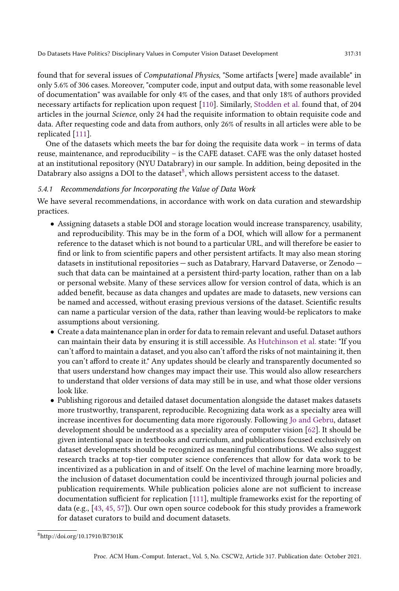found that for several issues of Computational Physics, "Some artifacts [were] made available" in only 5.6% of 306 cases. Moreover, "computer code, input and output data, with some reasonable level of documentation" was available for only 4% of the cases, and that only 18% of authors provided necessary artifacts for replication upon request [\[110\]](#page-36-15). Similarly, [Stodden et al.](#page-36-16) found that, of 204 articles in the journal Science, only 24 had the requisite information to obtain requisite code and data. After requesting code and data from authors, only 26% of results in all articles were able to be replicated [\[111\]](#page-36-16).

One of the datasets which meets the bar for doing the requisite data work – in terms of data reuse, maintenance, and reproducibility – is the CAFE dataset. CAFE was the only dataset hosted at an institutional repository (NYU Databrary) in our sample. In addition, being deposited in the Databrary also assigns a DOI to the dataset $^{\rm 8}$  $^{\rm 8}$  $^{\rm 8}$ , which allows persistent access to the dataset.

# 5.4.1 Recommendations for Incorporating the Value of Data Work

We have several recommendations, in accordance with work on data curation and stewardship practices.

- Assigning datasets a stable DOI and storage location would increase transparency, usability, and reproducibility. This may be in the form of a DOI, which will allow for a permanent reference to the dataset which is not bound to a particular URL, and will therefore be easier to find or link to from scientific papers and other persistent artifacts. It may also mean storing datasets in institutional repositories — such as Databrary, Harvard Dataverse, or Zenodo such that data can be maintained at a persistent third-party location, rather than on a lab or personal website. Many of these services allow for version control of data, which is an added benefit, because as data changes and updates are made to datasets, new versions can be named and accessed, without erasing previous versions of the dataset. Scientific results can name a particular version of the data, rather than leaving would-be replicators to make assumptions about versioning.
- Create a data maintenance plan in order for data to remain relevant and useful. Dataset authors can maintain their data by ensuring it is still accessible. As [Hutchinson et al.](#page-33-12) state: "If you can't afford to maintain a dataset, and you also can't afford the risks of not maintaining it, then you can't afford to create it." Any updates should be clearly and transparently documented so that users understand how changes may impact their use. This would also allow researchers to understand that older versions of data may still be in use, and what those older versions look like.
- Publishing rigorous and detailed dataset documentation alongside the dataset makes datasets more trustworthy, transparent, reproducible. Recognizing data work as a specialty area will increase incentives for documenting data more rigorously. Following [Jo and Gebru,](#page-34-0) dataset development should be understood as a speciality area of computer vision [\[62\]](#page-34-0). It should be given intentional space in textbooks and curriculum, and publications focused exclusively on dataset developments should be recognized as meaningful contributions. We also suggest research tracks at top-tier computer science conferences that allow for data work to be incentivized as a publication in and of itself. On the level of machine learning more broadly, the inclusion of dataset documentation could be incentivized through journal policies and publication requirements. While publication policies alone are not sufficient to increase documentation sufficient for replication [\[111\]](#page-36-16), multiple frameworks exist for the reporting of data (e.g., [\[43,](#page-33-0) [45,](#page-33-24) [57\]](#page-33-1)). Our own open source codebook for this study provides a framework for dataset curators to build and document datasets.

<span id="page-30-0"></span><sup>8</sup>http://doi.org/10.17910/B7301K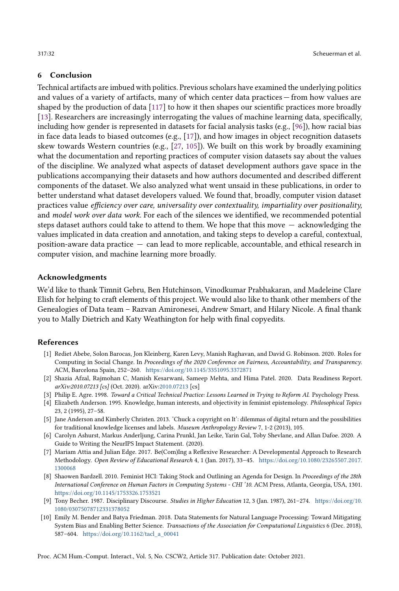Technical artifacts are imbued with politics. Previous scholars have examined the underlying politics and values of a variety of artifacts, many of which center data practices — from how values are shaped by the production of data [\[117\]](#page-36-7) to how it then shapes our scientific practices more broadly [\[13\]](#page-32-4). Researchers are increasingly interrogating the values of machine learning data, specifically, including how gender is represented in datasets for facial analysis tasks (e.g., [\[96\]](#page-35-1)), how racial bias in face data leads to biased outcomes (e.g., [\[17\]](#page-32-0)), and how images in object recognition datasets skew towards Western countries (e.g., [\[27,](#page-32-12) [105\]](#page-35-11)). We built on this work by broadly examining what the documentation and reporting practices of computer vision datasets say about the values of the discipline. We analyzed what aspects of dataset development authors gave space in the publications accompanying their datasets and how authors documented and described different components of the dataset. We also analyzed what went unsaid in these publications, in order to better understand what dataset developers valued. We found that, broadly, computer vision dataset practices value efficiency over care, universality over contextuality, impartiality over positionality, and model work over data work. For each of the silences we identified, we recommended potential steps dataset authors could take to attend to them. We hope that this move — acknowledging the values implicated in data creation and annotation, and taking steps to develop a careful, contextual, position-aware data practice — can lead to more replicable, accountable, and ethical research in computer vision, and machine learning more broadly.

### Acknowledgments

We'd like to thank Timnit Gebru, Ben Hutchinson, Vinodkumar Prabhakaran, and Madeleine Clare Elish for helping to craft elements of this project. We would also like to thank other members of the Genealogies of Data team – Razvan Amironesei, Andrew Smart, and Hilary Nicole. A final thank you to Mally Dietrich and Katy Weathington for help with final copyedits.

#### References

- <span id="page-31-3"></span>[1] Rediet Abebe, Solon Barocas, Jon Kleinberg, Karen Levy, Manish Raghavan, and David G. Robinson. 2020. Roles for Computing in Social Change. In Proceedings of the 2020 Conference on Fairness, Accountability, and Transparency. ACM, Barcelona Spain, 252–260. <https://doi.org/10.1145/3351095.3372871>
- <span id="page-31-5"></span>[2] Shazia Afzal, Rajmohan C, Manish Kesarwani, Sameep Mehta, and Hima Patel. 2020. Data Readiness Report. arXiv:2010.07213 [cs] (Oct. 2020). arXiv[:2010.07213](https://arxiv.org/abs/2010.07213) [cs]
- <span id="page-31-2"></span>[3] Philip E. Agre. 1998. Toward a Critical Technical Practice: Lessons Learned in Trying to Reform AI. Psychology Press.
- <span id="page-31-8"></span>[4] Elizabeth Anderson. 1995. Knowledge, human interests, and objectivity in feminist epistemology. Philosophical Topics 23, 2 (1995), 27–58.
- <span id="page-31-7"></span>[5] Jane Anderson and Kimberly Christen. 2013. 'Chuck a copyright on It': dilemmas of digital return and the possibilities for traditional knowledge licenses and labels. Museum Anthropology Review 7, 1-2 (2013), 105.
- <span id="page-31-9"></span>[6] Carolyn Ashurst, Markus Anderljung, Carina Prunkl, Jan Leike, Yarin Gal, Toby Shevlane, and Allan Dafoe. 2020. A Guide to Writing the NeurIPS Impact Statement. (2020).
- <span id="page-31-6"></span>[7] Mariam Attia and Julian Edge. 2017. Be(Com)Ing a Reflexive Researcher: A Developmental Approach to Research Methodology. Open Review of Educational Research 4, 1 (Jan. 2017), 33–45. [https://doi.org/10.1080/23265507.2017.](https://doi.org/10.1080/23265507.2017.1300068) [1300068](https://doi.org/10.1080/23265507.2017.1300068)
- <span id="page-31-4"></span>[8] Shaowen Bardzell. 2010. Feminist HCI: Taking Stock and Outlining an Agenda for Design. In Proceedings of the 28th International Conference on Human Factors in Computing Systems - CHI '10. ACM Press, Atlanta, Georgia, USA, 1301. <https://doi.org/10.1145/1753326.1753521>
- <span id="page-31-1"></span>[9] Tony Becher. 1987. Disciplinary Discourse. Studies in Higher Education 12, 3 (Jan. 1987), 261–274. [https://doi.org/10.](https://doi.org/10.1080/03075078712331378052) [1080/03075078712331378052](https://doi.org/10.1080/03075078712331378052)
- <span id="page-31-0"></span>[10] Emily M. Bender and Batya Friedman. 2018. Data Statements for Natural Language Processing: Toward Mitigating System Bias and Enabling Better Science. Transactions of the Association for Computational Linguistics 6 (Dec. 2018), 587–604. [https://doi.org/10.1162/tacl\\_a\\_00041](https://doi.org/10.1162/tacl_a_00041)

Proc. ACM Hum.-Comput. Interact., Vol. 5, No. CSCW2, Article 317. Publication date: October 2021.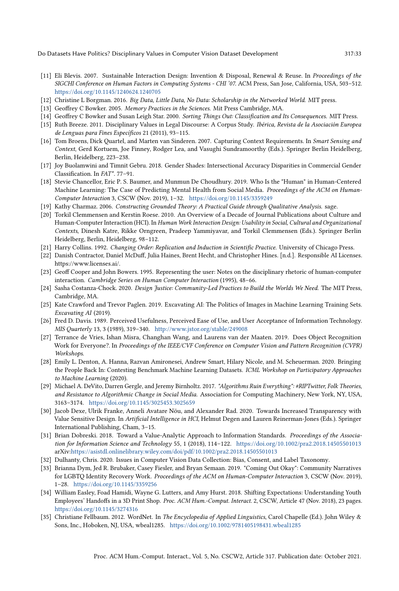- <span id="page-32-8"></span>[11] Eli Blevis. 2007. Sustainable Interaction Design: Invention & Disposal, Renewal & Reuse. In Proceedings of the SIGCHI Conference on Human Factors in Computing Systems - CHI '07. ACM Press, San Jose, California, USA, 503–512. <https://doi.org/10.1145/1240624.1240705>
- <span id="page-32-17"></span>[12] Christine L Borgman. 2016. Big Data, Little Data, No Data: Scholarship in the Networked World. MIT press.
- <span id="page-32-4"></span>[13] Geoffrey C Bowker. 2005. Memory Practices in the Sciences. Mit Press Cambridge, MA.
- <span id="page-32-5"></span>[14] Geoffrey C Bowker and Susan Leigh Star. 2000. Sorting Things Out: Classification and Its Consequences. MIT Press.
- <span id="page-32-1"></span>[15] Ruth Breeze. 2011. Disciplinary Values in Legal Discourse: A Corpus Study. Ibérica, Revista de la Asociación Europea de Lenguas para Fines Específicos 21 (2011), 93–115.
- <span id="page-32-19"></span>[16] Tom Broens, Dick Quartel, and Marten van Sinderen. 2007. Capturing Context Requirements. In Smart Sensing and Context, Gerd Kortuem, Joe Finney, Rodger Lea, and Vasughi Sundramoorthy (Eds.). Springer Berlin Heidelberg, Berlin, Heidelberg, 223–238.
- <span id="page-32-0"></span>[17] Joy Buolamwini and Timnit Gebru. 2018. Gender Shades: Intersectional Accuracy Disparities in Commercial Gender Classification. In FAT\*. 77–91.
- <span id="page-32-20"></span>[18] Stevie Chancellor, Eric P. S. Baumer, and Munmun De Choudhury. 2019. Who Is the "Human" in Human-Centered Machine Learning: The Case of Predicting Mental Health from Social Media. Proceedings of the ACM on Human-Computer Interaction 3, CSCW (Nov. 2019), 1–32. <https://doi.org/10.1145/3359249>
- <span id="page-32-18"></span>[19] Kathy Charmaz. 2006. Constructing Grounded Theory: A Practical Guide through Qualitative Analysis. sage.
- <span id="page-32-23"></span>[20] Torkil Clemmensen and Kerstin Roese. 2010. An Overview of a Decade of Journal Publications about Culture and Human-Computer Interaction (HCI). In Human Work Interaction Design: Usability in Social, Cultural and Organizational Contexts, Dinesh Katre, Rikke Orngreen, Pradeep Yammiyavar, and Torkil Clemmensen (Eds.). Springer Berlin Heidelberg, Berlin, Heidelberg, 98–112.
- <span id="page-32-3"></span>[21] Harry Collins. 1992. Changing Order: Replication and Induction in Scientific Practice. University of Chicago Press.
- <span id="page-32-22"></span>[22] Danish Contractor, Daniel McDuff, Julia Haines, Brent Hecht, and Christopher Hines. [n.d.]. Responsible AI Licenses. https://www.licenses.ai/.
- <span id="page-32-2"></span>[23] Geoff Cooper and John Bowers. 1995. Representing the user: Notes on the disciplinary rhetoric of human-computer interaction. Cambridge Series on Human Computer Interaction (1995), 48–66.
- <span id="page-32-11"></span>[24] Sasha Costanza-Chock. 2020. Design Justice: Community-Led Practices to Build the Worlds We Need. The MIT Press, Cambridge, MA.
- <span id="page-32-14"></span>[25] Kate Crawford and Trevor Paglen. 2019. Excavating AI: The Politics of Images in Machine Learning Training Sets. Excavating AI (2019).
- <span id="page-32-6"></span>[26] Fred D. Davis. 1989. Perceived Usefulness, Perceived Ease of Use, and User Acceptance of Information Technology. MIS Quarterly 13, 3 (1989), 319–340. <http://www.jstor.org/stable/249008>
- <span id="page-32-12"></span>[27] Terrance de Vries, Ishan Misra, Changhan Wang, and Laurens van der Maaten. 2019. Does Object Recognition Work for Everyone?. In Proceedings of the IEEE/CVF Conference on Computer Vision and Pattern Recognition (CVPR) Workshops.
- <span id="page-32-16"></span>[28] Emily L. Denton, A. Hanna, Razvan Amironesei, Andrew Smart, Hilary Nicole, and M. Scheuerman. 2020. Bringing the People Back In: Contesting Benchmark Machine Learning Datasets. ICML Workshop on Participatory Approaches to Machine Learning (2020).
- <span id="page-32-7"></span>[29] Michael A. DeVito, Darren Gergle, and Jeremy Birnholtz. 2017. "Algorithms Ruin Everything": #RIPTwitter, Folk Theories, and Resistance to Algorithmic Change in Social Media. Association for Computing Machinery, New York, NY, USA, 3163–3174. <https://doi.org/10.1145/3025453.3025659>
- <span id="page-32-9"></span>[30] Jacob Dexe, Ulrik Franke, Anneli Avatare Nöu, and Alexander Rad. 2020. Towards Increased Transparency with Value Sensitive Design. In Artificial Intelligence in HCI, Helmut Degen and Lauren Reinerman-Jones (Eds.). Springer International Publishing, Cham, 3–15.
- <span id="page-32-10"></span>[31] Brian Dobreski. 2018. Toward a Value-Analytic Approach to Information Standards. Proceedings of the Association for Information Science and Technology 55, 1 (2018), 114–122. <https://doi.org/10.1002/pra2.2018.14505501013> arXiv[:https://asistdl.onlinelibrary.wiley.com/doi/pdf/10.1002/pra2.2018.14505501013](https://arxiv.org/abs/https://asistdl.onlinelibrary.wiley.com/doi/pdf/10.1002/pra2.2018.14505501013)
- <span id="page-32-15"></span>[32] Dulhanty, Chris. 2020. Issues in Computer Vision Data Collection: Bias, Consent, and Label Taxonomy.
- <span id="page-32-24"></span>[33] Brianna Dym, Jed R. Brubaker, Casey Fiesler, and Bryan Semaan. 2019. "Coming Out Okay": Community Narratives for LGBTQ Identity Recovery Work. Proceedings of the ACM on Human-Computer Interaction 3, CSCW (Nov. 2019), 1–28. <https://doi.org/10.1145/3359256>
- <span id="page-32-21"></span>[34] William Easley, Foad Hamidi, Wayne G. Lutters, and Amy Hurst. 2018. Shifting Expectations: Understanding Youth Employees' Handoffs in a 3D Print Shop. Proc. ACM Hum.-Comput. Interact. 2, CSCW, Article 47 (Nov. 2018), 23 pages. <https://doi.org/10.1145/3274316>
- <span id="page-32-13"></span>[35] Christiane Fellbaum. 2012. WordNet. In The Encyclopedia of Applied Linguistics, Carol Chapelle (Ed.). John Wiley & Sons, Inc., Hoboken, NJ, USA, wbeal1285. <https://doi.org/10.1002/9781405198431.wbeal1285>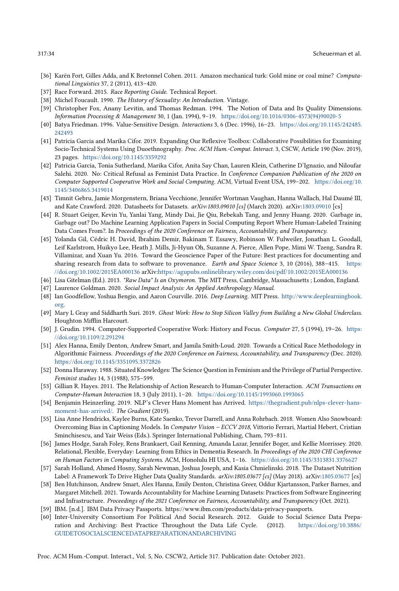- <span id="page-33-16"></span>[36] Karën Fort, Gilles Adda, and K Bretonnel Cohen. 2011. Amazon mechanical turk: Gold mine or coal mine? Computational Linguistics 37, 2 (2011), 413–420.
- <span id="page-33-22"></span>[37] Race Forward. 2015. Race Reporting Guide. Technical Report.
- <span id="page-33-3"></span>[38] Michel Foucault. 1990. The History of Sexuality: An Introduction. Vintage.
- <span id="page-33-4"></span>[39] Christopher Fox, Anany Levitin, and Thomas Redman. 1994. The Notion of Data and Its Quality Dimensions. Information Processing & Management 30, 1 (Jan. 1994), 9–19. [https://doi.org/10.1016/0306-4573\(94\)90020-5](https://doi.org/10.1016/0306-4573(94)90020-5)
- <span id="page-33-6"></span>[40] Batya Friedman. 1996. Value-Sensitive Design. Interactions 3, 6 (Dec. 1996), 16–23. [https://doi.org/10.1145/242485.](https://doi.org/10.1145/242485.242493) [242493](https://doi.org/10.1145/242485.242493)
- <span id="page-33-15"></span>[41] Patricia Garcia and Marika Cifor. 2019. Expanding Our Reflexive Toolbox: Collaborative Possibilities for Examining Socio-Technical Systems Using Duoethnography. Proc. ACM Hum.-Comput. Interact. 3, CSCW, Article 190 (Nov. 2019), 23 pages. <https://doi.org/10.1145/3359292>
- <span id="page-33-23"></span>[42] Patricia Garcia, Tonia Sutherland, Marika Cifor, Anita Say Chan, Lauren Klein, Catherine D'Ignazio, and Niloufar Salehi. 2020. No: Critical Refusal as Feminist Data Practice. In Conference Companion Publication of the 2020 on Computer Supported Cooperative Work and Social Computing. ACM, Virtual Event USA, 199–202. [https://doi.org/10.](https://doi.org/10.1145/3406865.3419014) [1145/3406865.3419014](https://doi.org/10.1145/3406865.3419014)
- <span id="page-33-0"></span>[43] Timnit Gebru, Jamie Morgenstern, Briana Vecchione, Jennifer Wortman Vaughan, Hanna Wallach, Hal Daumé III, and Kate Crawford. 2020. Datasheets for Datasets. arXiv[:1803.09010](https://arxiv.org/abs/1803.09010) [cs] (March 2020). arXiv:1803.09010 [cs]
- <span id="page-33-11"></span>[44] R. Stuart Geiger, Kevin Yu, Yanlai Yang, Mindy Dai, Jie Qiu, Rebekah Tang, and Jenny Huang. 2020. Garbage in, Garbage out? Do Machine Learning Application Papers in Social Computing Report Where Human-Labeled Training Data Comes From?. In Proceedings of the 2020 Conference on Fairness, Accountability, and Transparency.
- <span id="page-33-24"></span>[45] Yolanda Gil, Cédric H. David, Ibrahim Demir, Bakinam T. Essawy, Robinson W. Fulweiler, Jonathan L. Goodall, Leif Karlstrom, Huikyo Lee, Heath J. Mills, Ji-Hyun Oh, Suzanne A. Pierce, Allen Pope, Mimi W. Tzeng, Sandra R. Villamizar, and Xuan Yu. 2016. Toward the Geoscience Paper of the Future: Best practices for documenting and sharing research from data to software to provenance. *Earth and Space Science* 3, 10 (2016), 388–415. [https:](https://doi.org/10.1002/2015EA000136) [//doi.org/10.1002/2015EA000136](https://doi.org/10.1002/2015EA000136) arXiv[:https://agupubs.onlinelibrary.wiley.com/doi/pdf/10.1002/2015EA000136](https://arxiv.org/abs/https://agupubs.onlinelibrary.wiley.com/doi/pdf/10.1002/2015EA000136)
- <span id="page-33-5"></span>[46] Lisa Gitelman (Ed.). 2013. "Raw Data" Is an Oxymoron. The MIT Press, Cambridge, Massachusetts ; London, England.
- <span id="page-33-2"></span>[47] Laurence Goldman. 2020. Social Impact Analysis: An Applied Anthropology Manual.
- <span id="page-33-10"></span>[48] Ian Goodfellow, Yoshua Bengio, and Aaron Courville. 2016. Deep Learning. MIT Press. [http://www.deeplearningbook.](http://www.deeplearningbook.org) [org.](http://www.deeplearningbook.org)
- <span id="page-33-14"></span>[49] Mary L Gray and Siddharth Suri. 2019. Ghost Work: How to Stop Silicon Valley from Building a New Global Underclass. Houghton Mifflin Harcourt.
- <span id="page-33-20"></span>[50] J. Grudin. 1994. Computer-Supported Cooperative Work: History and Focus. Computer 27, 5 (1994), 19–26. [https:](https://doi.org/10.1109/2.291294) [//doi.org/10.1109/2.291294](https://doi.org/10.1109/2.291294)
- <span id="page-33-7"></span>[51] Alex Hanna, Emily Denton, Andrew Smart, and Jamila Smith-Loud. 2020. Towards a Critical Race Methodology in Algorithmic Fairness. Proceedings of the 2020 Conference on Fairness, Accountability, and Transparency (Dec. 2020). <https://doi.org/10.1145/3351095.3372826>
- <span id="page-33-13"></span>[52] Donna Haraway. 1988. Situated Knowledges: The Science Question in Feminism and the Privilege of Partial Perspective. Feminist studies 14, 3 (1988), 575–599.
- <span id="page-33-21"></span>[53] Gillian R. Hayes. 2011. The Relationship of Action Research to Human-Computer Interaction. ACM Transactions on Computer-Human Interaction 18, 3 (July 2011), 1–20. <https://doi.org/10.1145/1993060.1993065>
- <span id="page-33-9"></span>[54] Benjamin Heinzerling. 2019. NLP's Clever Hans Moment has Arrived. [https://thegradient.pub/nlps-clever-hans](https://thegradient.pub/nlps-clever-hans-moment-has-arrived/ )[moment-has-arrived/.](https://thegradient.pub/nlps-clever-hans-moment-has-arrived/ ) The Gradient (2019).
- <span id="page-33-8"></span>[55] Lisa Anne Hendricks, Kaylee Burns, Kate Saenko, Trevor Darrell, and Anna Rohrbach. 2018. Women Also Snowboard: Overcoming Bias in Captioning Models. In Computer Vision - ECCV 2018, Vittorio Ferrari, Martial Hebert, Cristian Sminchisescu, and Yair Weiss (Eds.). Springer International Publishing, Cham, 793–811.
- <span id="page-33-17"></span>[56] James Hodge, Sarah Foley, Rens Brankaert, Gail Kenning, Amanda Lazar, Jennifer Boger, and Kellie Morrissey. 2020. Relational, Flexible, Everyday: Learning from Ethics in Dementia Research. In Proceedings of the 2020 CHI Conference on Human Factors in Computing Systems. ACM, Honolulu HI USA, 1–16. <https://doi.org/10.1145/3313831.3376627>
- <span id="page-33-1"></span>[57] Sarah Holland, Ahmed Hosny, Sarah Newman, Joshua Joseph, and Kasia Chmielinski. 2018. The Dataset Nutrition Label: A Framework To Drive Higher Data Quality Standards. arXiv[:1805.03677](https://arxiv.org/abs/1805.03677) [cs] (May 2018). arXiv:1805.03677 [cs]
- <span id="page-33-12"></span>[58] Ben Hutchinson, Andrew Smart, Alex Hanna, Emily Denton, Christina Greer, Oddur Kjartansson, Parker Barnes, and Margaret Mitchell. 2021. Towards Accountability for Machine Learning Datasets: Practices from Software Engineering and Infrastructure. Proceedings of the 2021 Conference on Fairness, Accountability, and Transparency (Oct. 2021).
- <span id="page-33-19"></span>[59] IBM. [n.d.]. IBM Data Privacy Passports. https://www.ibm.com/products/data-privacy-passports.
- <span id="page-33-18"></span>[60] Inter-University Consortium For Political And Social Research. 2012. Guide to Social Science Data Preparation and Archiving: Best Practice Throughout the Data Life Cycle. (2012). [https://doi.org/10.3886/](https://doi.org/10.3886/GUIDETOSOCIALSCIENCEDATAPREPARATIONANDARCHIVING) [GUIDETOSOCIALSCIENCEDATAPREPARATIONANDARCHIVING](https://doi.org/10.3886/GUIDETOSOCIALSCIENCEDATAPREPARATIONANDARCHIVING)

Proc. ACM Hum.-Comput. Interact., Vol. 5, No. CSCW2, Article 317. Publication date: October 2021.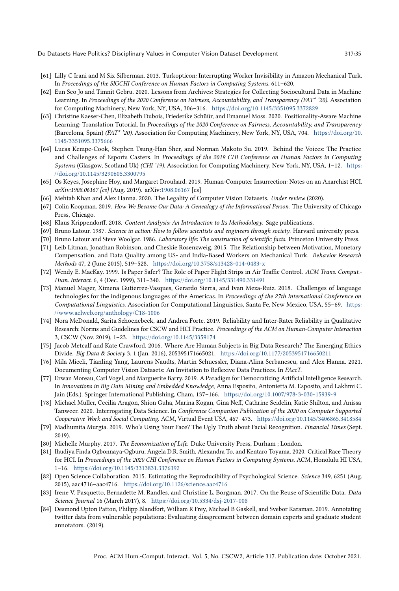- <span id="page-34-11"></span>[61] Lilly C Irani and M Six Silberman. 2013. Turkopticon: Interrupting Worker Invisibility in Amazon Mechanical Turk. In Proceedings of the SIGCHI Conference on Human Factors in Computing Systems. 611–620.
- <span id="page-34-0"></span>[62] Eun Seo Jo and Timnit Gebru. 2020. Lessons from Archives: Strategies for Collecting Sociocultural Data in Machine Learning. In Proceedings of the 2020 Conference on Fairness, Accountability, and Transparency (FAT\* '20). Association for Computing Machinery, New York, NY, USA, 306–316. <https://doi.org/10.1145/3351095.3372829>
- <span id="page-34-14"></span>[63] Christine Kaeser-Chen, Elizabeth Dubois, Friederike Schüür, and Emanuel Moss. 2020. Positionality-Aware Machine Learning: Translation Tutorial. In Proceedings of the 2020 Conference on Fairness, Accountability, and Transparency (Barcelona, Spain) (FAT\* '20). Association for Computing Machinery, New York, NY, USA, 704. [https://doi.org/10.](https://doi.org/10.1145/3351095.3375666) [1145/3351095.3375666](https://doi.org/10.1145/3351095.3375666)
- <span id="page-34-15"></span>[64] Lucas Kempe-Cook, Stephen Tsung-Han Sher, and Norman Makoto Su. 2019. Behind the Voices: The Practice and Challenges of Esports Casters. In Proceedings of the 2019 CHI Conference on Human Factors in Computing Systems (Glasgow, Scotland Uk) (CHI '19). Association for Computing Machinery, New York, NY, USA, 1–12. [https:](https://doi.org/10.1145/3290605.3300795) [//doi.org/10.1145/3290605.3300795](https://doi.org/10.1145/3290605.3300795)
- <span id="page-34-5"></span>[65] Os Keyes, Josephine Hoy, and Margaret Drouhard. 2019. Human-Computer Insurrection: Notes on an Anarchist HCI. arXiv:1908.06167 [cs] (Aug. 2019). arXiv[:1908.06167](https://arxiv.org/abs/1908.06167) [cs]
- <span id="page-34-6"></span>[66] Mehtab Khan and Alex Hanna. 2020. The Legality of Computer Vision Datasets. Under review (2020).
- <span id="page-34-19"></span>[67] Colin Koopman. 2019. How We Became Our Data: A Genealogy of the Informational Person. The University of Chicago Press, Chicago.
- <span id="page-34-8"></span>[68] Klaus Krippendorff. 2018. Content Analysis: An Introduction to Its Methodology. Sage publications.
- <span id="page-34-1"></span>[69] Bruno Latour. 1987. Science in action: How to follow scientists and engineers through society. Harvard university press.
- <span id="page-34-2"></span>[70] Bruno Latour and Steve Woolgar. 1986. Laboratory life: The construction of scientific facts. Princeton University Press.
- <span id="page-34-17"></span>[71] Leib Litman, Jonathan Robinson, and Cheskie Rosenzweig. 2015. The Relationship between Motivation, Monetary Compensation, and Data Quality among US- and India-Based Workers on Mechanical Turk. Behavior Research Methods 47, 2 (June 2015), 519–528. <https://doi.org/10.3758/s13428-014-0483-x>
- <span id="page-34-16"></span>[72] Wendy E. MacKay. 1999. Is Paper Safer? The Role of Paper Flight Strips in Air Traffic Control. ACM Trans. Comput.- Hum. Interact. 6, 4 (Dec. 1999), 311–340. <https://doi.org/10.1145/331490.331491>
- <span id="page-34-21"></span>[73] Manuel Mager, Ximena Gutierrez-Vasques, Gerardo Sierra, and Ivan Meza-Ruiz. 2018. Challenges of language technologies for the indigenous languages of the Americas. In Proceedings of the 27th International Conference on Computational Linguistics. Association for Computational Linguistics, Santa Fe, New Mexico, USA, 55–69. [https:](https://www.aclweb.org/anthology/C18-1006) [//www.aclweb.org/anthology/C18-1006](https://www.aclweb.org/anthology/C18-1006)
- <span id="page-34-13"></span>[74] Nora McDonald, Sarita Schoenebeck, and Andrea Forte. 2019. Reliability and Inter-Rater Reliability in Qualitative Research: Norms and Guidelines for CSCW and HCI Practice. Proceedings of the ACM on Human-Computer Interaction 3, CSCW (Nov. 2019), 1–23. <https://doi.org/10.1145/3359174>
- <span id="page-34-18"></span>[75] Jacob Metcalf and Kate Crawford. 2016. Where Are Human Subjects in Big Data Research? The Emerging Ethics Divide. Big Data & Society 3, 1 (Jan. 2016), 205395171665021. <https://doi.org/10.1177/2053951716650211>
- <span id="page-34-9"></span>[76] Mila Miceli, Tianling Yang, Laurens Naudts, Martin Schuessler, Diana-Alina Serbanescu, and Alex Hanna. 2021. Documenting Computer Vision Datasets: An Invitation to Reflexive Data Practices. In FAccT.
- <span id="page-34-3"></span>[77] Erwan Moreau, Carl Vogel, and Marguerite Barry. 2019. A Paradigm for Democratizing Artificial Intelligence Research. In Innovations in Big Data Mining and Embedded Knowledge, Anna Esposito, Antonietta M. Esposito, and Lakhmi C. Jain (Eds.). Springer International Publishing, Cham, 137–166. <https://doi.org/10.1007/978-3-030-15939-9>
- <span id="page-34-10"></span>[78] Michael Muller, Cecilia Aragon, Shion Guha, Marina Kogan, Gina Neff, Cathrine Seidelin, Katie Shilton, and Anissa Tanweer. 2020. Interrogating Data Science. In Conference Companion Publication of the 2020 on Computer Supported Cooperative Work and Social Computing. ACM, Virtual Event USA, 467–473. <https://doi.org/10.1145/3406865.3418584>
- <span id="page-34-7"></span>[79] Madhumita Murgia. 2019. Who's Using Your Face? The Ugly Truth about Facial Recognition. Financial Times (Sept. 2019).
- <span id="page-34-20"></span>[80] Michelle Murphy. 2017. The Economization of Life. Duke University Press, Durham ; London.
- <span id="page-34-4"></span>[81] Ihudiya Finda Ogbonnaya-Ogburu, Angela D.R. Smith, Alexandra To, and Kentaro Toyama. 2020. Critical Race Theory for HCI. In Proceedings of the 2020 CHI Conference on Human Factors in Computing Systems. ACM, Honolulu HI USA, 1–16. <https://doi.org/10.1145/3313831.3376392>
- <span id="page-34-23"></span>[82] Open Science Collaboration. 2015. Estimating the Reproducibility of Psychological Science. Science 349, 6251 (Aug. 2015), aac4716–aac4716. <https://doi.org/10.1126/science.aac4716>
- <span id="page-34-12"></span>[83] Irene V. Pasquetto, Bernadette M. Randles, and Christine L. Borgman. 2017. On the Reuse of Scientific Data. Data Science Journal 16 (March 2017), 8. <https://doi.org/10.5334/dsj-2017-008>
- <span id="page-34-22"></span>[84] Desmond Upton Patton, Philipp Blandfort, William R Frey, Michael B Gaskell, and Svebor Karaman. 2019. Annotating twitter data from vulnerable populations: Evaluating disagreement between domain experts and graduate student annotators. (2019).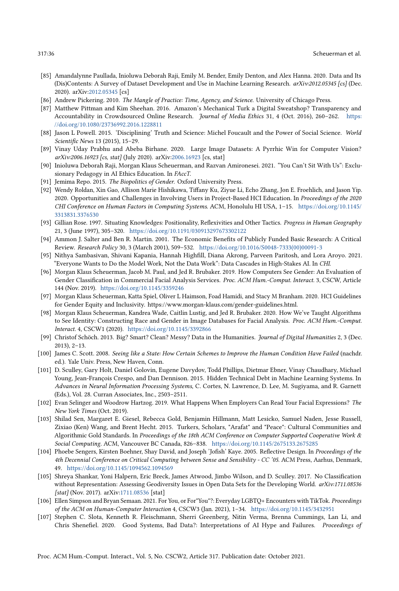- <span id="page-35-15"></span>[85] Amandalynne Paullada, Inioluwa Deborah Raji, Emily M. Bender, Emily Denton, and Alex Hanna. 2020. Data and Its (Dis)Contents: A Survey of Dataset Development and Use in Machine Learning Research. arXiv:2012.05345 [cs] (Dec. 2020). arXiv[:2012.05345](https://arxiv.org/abs/2012.05345) [cs]
- <span id="page-35-6"></span>[86] Andrew Pickering. 2010. The Mangle of Practice: Time, Agency, and Science. University of Chicago Press.
- <span id="page-35-17"></span>[87] Matthew Pittman and Kim Sheehan. 2016. Amazon's Mechanical Turk a Digital Sweatshop? Transparency and Accountability in Crowdsourced Online Research. Journal of Media Ethics 31, 4 (Oct. 2016), 260-262. [https:](https://doi.org/10.1080/23736992.2016.1228811) [//doi.org/10.1080/23736992.2016.1228811](https://doi.org/10.1080/23736992.2016.1228811)
- <span id="page-35-4"></span>[88] Jason L Powell. 2015. 'Disciplining' Truth and Science: Michel Foucault and the Power of Social Science. World Scientific News 13 (2015), 15–29.
- <span id="page-35-12"></span>[89] Vinay Uday Prabhu and Abeba Birhane. 2020. Large Image Datasets: A Pyrrhic Win for Computer Vision? arXiv:2006.16923 [cs, stat] (July 2020). arXiv[:2006.16923](https://arxiv.org/abs/2006.16923) [cs, stat]
- <span id="page-35-2"></span>[90] Inioluwa Deborah Raji, Morgan Klaus Scheuerman, and Razvan Amironesei. 2021. "You Can't Sit With Us": Exclusionary Pedagogy in AI Ethics Education. In FAccT.
- <span id="page-35-5"></span>[91] Jemima Repo. 2015. The Biopolitics of Gender. Oxford University Press.
- <span id="page-35-20"></span>[92] Wendy Roldan, Xin Gao, Allison Marie Hishikawa, Tiffany Ku, Ziyue Li, Echo Zhang, Jon E. Froehlich, and Jason Yip. 2020. Opportunities and Challenges in Involving Users in Project-Based HCI Education. In Proceedings of the 2020 CHI Conference on Human Factors in Computing Systems. ACM, Honolulu HI USA, 1–15. [https://doi.org/10.1145/](https://doi.org/10.1145/3313831.3376530) [3313831.3376530](https://doi.org/10.1145/3313831.3376530)
- <span id="page-35-19"></span>[93] Gillian Rose. 1997. Situating Knowledges: Positionality, Reflexivities and Other Tactics. Progress in Human Geography 21, 3 (June 1997), 305–320. <https://doi.org/10.1191/030913297673302122>
- <span id="page-35-3"></span>[94] Ammon J. Salter and Ben R. Martin. 2001. The Economic Benefits of Publicly Funded Basic Research: A Critical Review. Research Policy 30, 3 (March 2001), 509–532. [https://doi.org/10.1016/S0048-7333\(00\)00091-3](https://doi.org/10.1016/S0048-7333(00)00091-3)
- <span id="page-35-14"></span>[95] Nithya Sambasivan, Shivani Kapania, Hannah Highfill, Diana Akrong, Parveen Paritosh, and Lora Aroyo. 2021. "Everyone Wants to Do the Model Work, Not the Data Work": Data Cascades in High-Stakes AI. In CHI.
- <span id="page-35-1"></span>[96] Morgan Klaus Scheuerman, Jacob M. Paul, and Jed R. Brubaker. 2019. How Computers See Gender: An Evaluation of Gender Classification in Commercial Facial Analysis Services. Proc. ACM Hum.-Comput. Interact. 3, CSCW, Article 144 (Nov. 2019). <https://doi.org/10.1145/3359246>
- <span id="page-35-22"></span>[97] Morgan Klaus Scheuerman, Katta Spiel, Oliver L Haimson, Foad Hamidi, and Stacy M Branham. 2020. HCI Guidelines for Gender Equity and Inclusivity. https://www.morgan-klaus.com/gender-guidelines.html.
- <span id="page-35-9"></span>[98] Morgan Klaus Scheuerman, Kandrea Wade, Caitlin Lustig, and Jed R. Brubaker. 2020. How We've Taught Algorithms to See Identity: Constructing Race and Gender in Image Databases for Facial Analysis. Proc. ACM Hum.-Comput. Interact. 4, CSCW1 (2020). <https://doi.org/10.1145/3392866>
- <span id="page-35-7"></span>[99] Christof Schöch. 2013. Big? Smart? Clean? Messy? Data in the Humanities. Journal of Digital Humanities 2, 3 (Dec. 2013), 2–13.
- <span id="page-35-18"></span>[100] James C. Scott. 2008. Seeing like a State: How Certain Schemes to Improve the Human Condition Have Failed (nachdr. ed.). Yale Univ. Press, New Haven, Conn.
- <span id="page-35-16"></span>[101] D. Sculley, Gary Holt, Daniel Golovin, Eugene Davydov, Todd Phillips, Dietmar Ebner, Vinay Chaudhary, Michael Young, Jean-François Crespo, and Dan Dennison. 2015. Hidden Technical Debt in Machine Learning Systems. In Advances in Neural Information Processing Systems, C. Cortes, N. Lawrence, D. Lee, M. Sugiyama, and R. Garnett (Eds.), Vol. 28. Curran Associates, Inc., 2503–2511.
- <span id="page-35-0"></span>[102] Evan Selinger and Woodrow Hartzog. 2019. What Happens When Employers Can Read Your Facial Expressions? The New York Times (Oct. 2019).
- <span id="page-35-13"></span>[103] Shilad Sen, Margaret E. Giesel, Rebecca Gold, Benjamin Hillmann, Matt Lesicko, Samuel Naden, Jesse Russell, Zixiao (Ken) Wang, and Brent Hecht. 2015. Turkers, Scholars, "Arafat" and "Peace": Cultural Communities and Algorithmic Gold Standards. In Proceedings of the 18th ACM Conference on Computer Supported Cooperative Work & Social Computing. ACM, Vancouver BC Canada, 826–838. <https://doi.org/10.1145/2675133.2675285>
- <span id="page-35-8"></span>[104] Phoebe Sengers, Kirsten Boehner, Shay David, and Joseph 'Jofish' Kaye. 2005. Reflective Design. In Proceedings of the 4th Decennial Conference on Critical Computing between Sense and Sensibility - CC '05. ACM Press, Aarhus, Denmark, 49. <https://doi.org/10.1145/1094562.1094569>
- <span id="page-35-11"></span>[105] Shreya Shankar, Yoni Halpern, Eric Breck, James Atwood, Jimbo Wilson, and D. Sculley. 2017. No Classification without Representation: Assessing Geodiversity Issues in Open Data Sets for the Developing World. arXiv:1711.08536 [stat] (Nov. 2017). arXiv[:1711.08536](https://arxiv.org/abs/1711.08536) [stat]
- <span id="page-35-21"></span>[106] Ellen Simpson and Bryan Semaan. 2021. For You, or For"You"?: Everyday LGBTQ+ Encounters with TikTok. Proceedings of the ACM on Human-Computer Interaction 4, CSCW3 (Jan. 2021), 1–34. <https://doi.org/10.1145/3432951>
- <span id="page-35-10"></span>[107] Stephen C. Slota, Kenneth R. Fleischmann, Sherri Greenberg, Nitin Verma, Brenna Cummings, Lan Li, and Chris Shenefiel. 2020. Good Systems, Bad Data?: Interpretations of AI Hype and Failures. Proceedings of